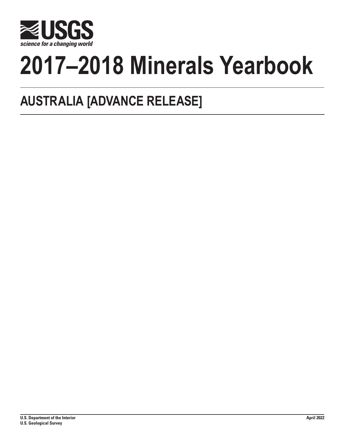

# **2017–2018 Minerals Yearbook**

## **AUSTRALIA [ADVANCE RELEASE]**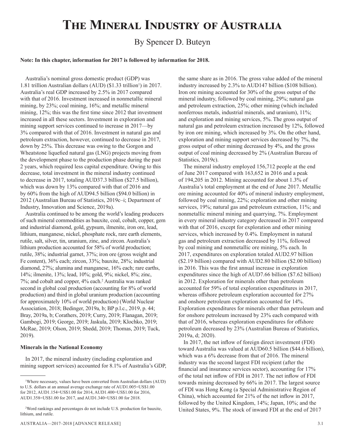## **The Mineral Industry of Australia**

### By Spencer D. Buteyn

#### **Note: In this chapter, information for 2017 is followed by information for 2018.**

Australia's nominal gross domestic product (GDP) was 1.81 trillion Australian dollars (AUD) (\$1.33 trillion<sup>1</sup>) in 2017. Australia's real GDP increased by 2.5% in 2017 compared with that of 2016. Investment increased in nonmetallic mineral mining, by 23%; coal mining, 16%; and metallic mineral mining, 12%; this was the first time since 2012 that investment increased in all these sectors. Investment in exploration and mining support services continued to increase in 2017—by 3% compared with that of 2016. Investment in natural gas and petroleum extraction, however, continued to decrease in 2017, down by 25%. This decrease was owing to the Gorgon and Wheatstone liquefied natural gas (LNG) projects moving from the development phase to the production phase during the past 2 years, which required less capital expenditure. Owing to this decrease, total investment in the mineral industry continued to decrease in 2017, totaling AUD37.3 billion (\$27.5 billion), which was down by 13% compared with that of 2016 and by 60% from the high of AUD94.5 billion (\$94.0 billion) in 2012 (Australian Bureau of Statistics, 2019c–i; Department of Industry, Innovation and Science, 2019a).

Australia continued to be among the world's leading producers of such mineral commodities as bauxite, coal, cobalt, copper, gem and industrial diamond, gold, gypsum, ilmenite, iron ore, lead, lithium, manganese, nickel, phosphate rock, rare earth elements, rutile, salt, silver, tin, uranium, zinc, and zircon. Australia's lithium production accounted for 58% of world production; rutile, 38%; industrial garnet, 37%; iron ore (gross weight and Fe content), 36% each; zircon, 33%; bauxite, 28%; industrial diamond, 27%; alumina and manganese, 16% each; rare earths, 14%; ilmenite, 13%; lead, 10%; gold, 9%; nickel, 8%; zinc, 7%; and cobalt and copper, 4% each.2 Australia was ranked second in global coal production (accounting for 8% of world production) and third in global uranium production (accounting for approximately 10% of world production) (World Nuclear Association, 2018; Bedinger, 2019a, b; BP p.l.c., 2019, p. 44; Bray, 2019a, b; Corathers, 2019; Curry, 2019; Flanagan, 2019; Gambogi, 2019; George, 2019; Jaskula, 2019; Klochko, 2019; McRae, 2019; Olson, 2019; Shedd, 2019; Thomas, 2019; Tuck, 2019).

#### **Minerals in the National Economy**

In 2017, the mineral industry (including exploration and mining support services) accounted for 8.1% of Australia's GDP, the same share as in 2016. The gross value added of the mineral industry increased by 2.3% to AUD147 billion (\$108 billion). Iron ore mining accounted for 30% of the gross output of the mineral industry, followed by coal mining, 29%; natural gas and petroleum extraction, 25%; other mining (which included nonferrous metals, industrial minerals, and uranium), 11%; and exploration and mining services, 5%. The gross output of natural gas and petroleum extraction increased by 12%, followed by iron ore mining, which increased by 3%. On the other hand, exploration and mining support services decreased by 7%, the gross output of other mining decreased by 4%, and the gross output of coal mining decreased by 2% (Australian Bureau of Statistics, 2019c).

The mineral industry employed 156,712 people at the end of June 2017 compared with 163,652 in 2016 and a peak of 194,205 in 2012. Mining accounted for about 1.3% of Australia's total employment at the end of June 2017. Metallic ore mining accounted for 40% of mineral industry employment, followed by coal mining, 22%; exploration and other mining services, 19%; natural gas and petroleum extraction, 11%; and nonmetallic mineral mining and quarrying, 7%. Employment in every mineral industry category decreased in 2017 compared with that of 2016, except for exploration and other mining services, which increased by 0.4%. Employment in natural gas and petroleum extraction decreased by 11%, followed by coal mining and nonmetallic ore mining, 5% each. In 2017, expenditures on exploration totaled AUD2.97 billion (\$2.19 billion) compared with AUD2.80 billion (\$2.00 billion) in 2016. This was the first annual increase in exploration expenditures since the high of AUD7.66 billion (\$7.62 billion) in 2012. Exploration for minerals other than petroleum accounted for 59% of total exploration expenditures in 2017, whereas offshore petroleum exploration accounted for 27% and onshore petroleum exploration accounted for 14%. Exploration expenditures for minerals other than petroleum and for onshore petroleum increased by 23% each compared with that of 2016, whereas exploration expenditures for offshore petroleum decreased by 23% (Australian Bureau of Statistics, 2019a, d; 2020).

In 2017, the net inflow of foreign direct investment (FDI) toward Australia was valued at AUD60.5 billion (\$44.6 billion), which was a 6% decrease from that of 2016. The mineral industry was the second largest FDI recipient (after the financial and insurance services sector), accounting for 17% of the total net inflow of FDI in 2017. The net inflow of FDI towards mining decreased by 66% in 2017. The largest source of FDI was Hong Kong (a Special Administrative Region of China), which accounted for 21% of the net inflow in 2017, followed by the United Kingdom, 14%; Japan, 10%; and the United States, 9%. The stock of inward FDI at the end of 2017

<sup>1</sup> Where necessary, values have been converted from Australian dollars (AUD) to U.S. dollars at an annual average exchange rate of AUD1.005=US\$1.00 for 2012, AUD1.154=US\$1.00 for 2014, AUD1.400=US\$1.00 for 2016, AUD1.358=US\$1.00 for 2017, and AUD1.340=US\$1.00 for 2018.

<sup>2</sup> Word rankings and percentages do not include U.S. production for bauxite, lithium, and rutile.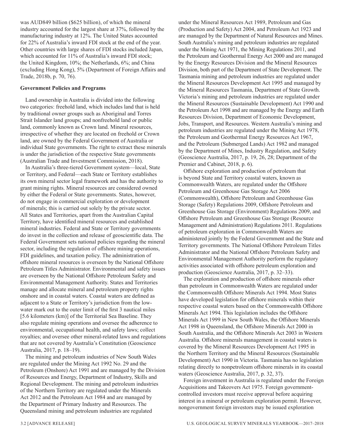was AUD849 billion (\$625 billion), of which the mineral industry accounted for the largest share at 37%, followed by the manufacturing industry at 12%. The United States accounted for 22% of Australia's inward FDI stock at the end of the year. Other countries with large shares of FDI stocks included Japan, which accounted for 11% of Australia's inward FDI stock; the United Kingdom, 10%; the Netherlands, 6%; and China (excluding Hong Kong), 5% (Department of Foreign Affairs and Trade, 2018b, p. 70, 76).

#### **Government Policies and Programs**

Land ownership in Australia is divided into the following two categories: freehold land, which includes land that is held by traditional owner groups such as Aboriginal and Torres Strait Islander land groups; and nonfreehold land or public land, commonly known as Crown land. Mineral resources, irrespective of whether they are located on freehold or Crown land, are owned by the Federal Government of Australia or individual State governments. The right to extract these minerals is under the jurisdiction of the respective State governments (Australian Trade and Investment Commission, 2018).

In Australia's three-tiered Government system—local, State or Territory, and Federal—each State or Territory establishes its own mineral sector legal framework and has the authority to grant mining rights. Mineral resources are considered owned by either the Federal or State governments. States, however, do not engage in commercial exploration or development of minerals; this is carried out solely by the private sector. All States and Territories, apart from the Australian Capital Territory, have identified mineral resources and established mineral industries. Federal and State or Territory governments do invest in the collection and release of geoscientific data. The Federal Government sets national policies regarding the mineral sector, including the regulation of offshore mining operations, FDI guidelines, and taxation policy. The administration of offshore mineral resources is overseen by the National Offshore Petroleum Titles Administrator. Environmental and safety issues are overseen by the National Offshore Petroleum Safety and Environmental Management Authority. States and Territories manage and allocate mineral and petroleum property rights onshore and in coastal waters. Coastal waters are defined as adjacent to a State or Territory's jurisdiction from the lowwater mark out to the outer limit of the first 3 nautical miles [5.6 kilometers (km)] of the Territorial Sea Baseline. They also regulate mining operations and oversee the adherence to environmental, occupational health, and safety laws; collect royalties; and oversee other mineral-related laws and regulations that are not covered by Australia's Constitution (Geoscience Australia, 2017, p. 18–19).

The mining and petroleum industries of New South Wales are regulated under the Mining Act 1992 No. 29 and the Petroleum (Onshore) Act 1991 and are managed by the Division of Resources and Energy, Department of Industry, Skills and Regional Development. The mining and petroleum industries of the Northern Territory are regulated under the Minerals Act 2012 and the Petroleum Act 1984 and are managed by the Department of Primary Industry and Resources. The Queensland mining and petroleum industries are regulated

under the Mineral Resources Act 1989, Petroleum and Gas (Production and Safety) Act 2004, and Petroleum Act 1923 and are managed by the Department of Natural Resources and Mines. South Australia's mining and petroleum industries are regulated under the Mining Act 1971, the Mining Regulations 2011, and the Petroleum and Geothermal Energy Act 2000 and are managed by the Energy Resources Division and the Mineral Resources Division, both part of the Department of State Development. The Tasmania mining and petroleum industries are regulated under the Mineral Resources Development Act 1995 and managed by the Mineral Resources Tasmania, Department of State Growth. Victoria's mining and petroleum industries are regulated under the Mineral Resources (Sustainable Development) Act 1990 and the Petroleum Act 1998 and are managed by the Energy and Earth Resources Division, Department of Economic Development, Jobs, Transport, and Resources. Western Australia's mining and petroleum industries are regulated under the Mining Act 1978, the Petroleum and Geothermal Energy Resources Act 1967, and the Petroleum (Submerged Lands) Act 1982 and managed by the Department of Mines, Industry Regulation, and Safety (Geoscience Australia, 2017, p. 19, 26, 28; Department of the Premier and Cabinet, 2018, p. 6).

Offshore exploration and production of petroleum that is beyond State and Territory coastal waters, known as Commonwealth Waters, are regulated under the Offshore Petroleum and Greenhouse Gas Storage Act 2006 (Commonwealth), Offshore Petroleum and Greenhouse Gas Storage (Safety) Regulations 2009, Offshore Petroleum and Greenhouse Gas Storage (Environment) Regulations 2009, and Offshore Petroleum and Greenhouse Gas Storage (Resource Management and Administration) Regulations 2011. Regulations of petroleum exploration in Commonwealth Waters are administered jointly by the Federal Government and the State and Territory governments. The National Offshore Petroleum Titles Administrator and the National Offshore Petroleum Safety and Environmental Management Authority perform the regulatory activities associated with offshore petroleum exploration and production (Geoscience Australia, 2017, p. 32–33).

The exploration and production of offshore minerals other than petroleum in Commonwealth Waters are regulated under the Commonwealth Offshore Minerals Act 1994. Most States have developed legislation for offshore minerals within their respective coastal waters based on the Commonwealth Offshore Minerals Act 1994. This legislation includes the Offshore Minerals Act 1999 in New South Wales, the Offshore Minerals Act 1998 in Queensland, the Offshore Minerals Act 2000 in South Australia, and the Offshore Minerals Act 2003 in Western Australia. Offshore minerals management in coastal waters is covered by the Mineral Resources Development Act 1995 in the Northern Territory and the Mineral Resources (Sustainable Development) Act 1990 in Victoria. Tasmania has no legislation relating directly to nonpetroleum offshore minerals in its coastal waters (Geoscience Australia, 2017, p. 32, 37).

Foreign investment in Australia is regulated under the Foreign Acquisitions and Takeovers Act 1975. Foreign governmentcontrolled investors must receive approval before acquiring interest in a mineral or petroleum exploration permit. However, nongovernment foreign investors may be issued exploration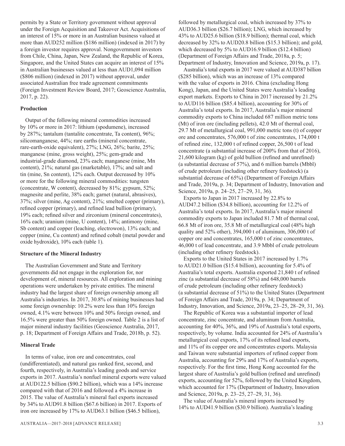permits by a State or Territory government without approval under the Foreign Acquisition and Takeover Act. Acquisitions of an interest of 15% or more in an Australian business valued at more than AUD252 million (\$186 million) (indexed in 2017) by a foreign investor requires approval. Nongovernment investors from Chile, China, Japan, New Zealand, the Republic of Korea, Singapore, and the United States can acquire an interest of 15% in Australian businesses valued at less than AUD1,094 million (\$806 million) (indexed in 2017) without approval, under associated Australian free trade agreement commitments (Foreign Investment Review Board, 2017; Geoscience Australia, 2017, p. 22).

#### **Production**

Output of the following mineral commodities increased by 10% or more in 2017: lithium (spodumene), increased by 287%; tantalum (tantalite concentrate, Ta content), 96%; silicomanganese, 44%; rare earths (mineral concentrate, rare-earth-oxide equivalent), 27%; LNG, 26%; barite, 25%; manganese (mine, gross weight), 25%; gem-grade and industrial-grade diamond, 23% each; manganese (mine, Mn content), 21%; natural gas (marketable), 17%; and salt and tin (mine, Sn content), 12% each. Output decreased by 10% or more for the following mineral commodities: tungsten (concentrate, W content), decreased by 81%; gypsum, 52%; magnesite and perlite, 38% each; garnet (natural, abrasives), 37%; silver (mine, Ag content), 21%; smelted copper (primary), refined copper (primary), and refined lead bullion (primary), 19% each; refined silver and zirconium (mineral concentrates), 16% each; uranium (mine, U content), 14%; antimony (mine, Sb content) and copper (leaching, electrowon), 13% each; and copper (mine, Cu content) and refined cobalt (metal powder and oxide hydroxide), 10% each (table 1).

#### **Structure of the Mineral Industry**

The Australian Government and State and Territory governments did not engage in the exploration for, nor development of, mineral resources. All exploration and mining operations were undertaken by private entities. The mineral industry had the largest share of foreign ownership among all Australia's industries. In 2017, 30.8% of mining businesses had some foreign ownership: 10.2% were less than 10% foreign owned, 4.1% were between 10% and 50% foreign owned, and 16.5% were greater than 50% foreign owned. Table 2 is a list of major mineral industry facilities (Geoscience Australia, 2017, p. 18; Department of Foreign Affairs and Trade, 2018b, p. 52).

#### **Mineral Trade**

In terms of value, iron ore and concentrates, coal (undifferentiated), and natural gas ranked first, second, and fourth, respectively, in Australia's leading goods and service exports in 2017. Australia's nonfuel mineral exports were valued at AUD122.5 billion (\$90.2 billion), which was a 14% increase compared with that of 2016 and followed a 4% increase in 2015. The value of Australia's mineral fuel exports increased by 34% to AUD91.8 billion (\$67.6 billion) in 2017. Exports of iron ore increased by 17% to AUD63.1 billion (\$46.5 billion),

followed by metallurgical coal, which increased by 37% to AUD36.3 billion (\$26.7 billion); LNG, which increased by 43% to AUD25.6 billion (\$18.9 billion); thermal coal, which decreased by 32% to AUD20.8 billion (\$15.3 billion); and gold, which decreased by 5% to AUD16.9 billion (\$12.4 billion) (Department of Foreign Affairs and Trade, 2018a, p. 5; Department of Industry, Innovation and Science, 2019a, p. 17).

Australia's total exports in 2017 were valued at AUD387 billion (\$285 billion), which was an increase of 13% compared with the value of exports in 2016. China (excluding Hong Kong), Japan, and the United States were Australia's leading export markets. Exports to China in 2017 increased by 21.2% to AUD116 billion (\$85.4 billion), accounting for 30% of Australia's total exports. In 2017, Australia's major mineral commodity exports to China included 687 million metric tons (Mt) of iron ore (including pellets), 42.0 Mt of thermal coal, 29.7 Mt of metallurgical coal, 991,000 metric tons (t) of copper ore and concentrates, 576,000 t of zinc concentrates, 174,000 t of refined zinc, 132,000 t of refined copper, 26,500 t of lead concentrate (a substantial increase of 200% from that of 2016), 21,600 kilogram (kg) of gold bullion (refined and unrefined) (a substantial decrease of 57%), and 6 million barrels (Mbbl) of crude petroleum (including other refinery feedstock) (a substantial decrease of 65%) (Department of Foreign Affairs and Trade, 2019a, p. 34; Department of Industry, Innovation and Science, 2019a, p. 24–25, 27–29, 31, 36).

Exports to Japan in 2017 increased by 22.8% to AUD47.2 billion (\$34.8 billion), accounting for 12.2% of Australia's total exports. In 2017, Australia's major mineral commodity exports to Japan included 81.7 Mt of thermal coal, 66.8 Mt of iron ore, 35.8 Mt of metallurgical coal (48% high quality and 52% other), 394,000 t of aluminum, 306,000 t of copper ore and concentrates, 165,000 t of zinc concentrates, 46,000 t of lead concentrate, and 3.9 Mbbl of crude petroleum (including other refinery feedstock).

Exports to the United States in 2017 increased by 1.7% to AUD21.0 billion (\$15.4 billion), accounting for 5.4% of Australia's total exports. Australia exported 21,840 t of refined zinc (a substantial decrease of 58%) and 648,000 barrels of crude petroleum (including other refinery feedstock) (a substantial decrease of 51%) to the United States (Department of Foreign Affairs and Trade, 2019a, p. 34; Department of Industry, Innovation, and Science, 2019a, 23–25, 28–29, 31, 36).

The Republic of Korea was a substantial importer of lead concentrate, zinc concentrate, and aluminum from Australia, accounting for 40%, 36%, and 19% of Australia's total exports, respectively, by volume. India accounted for 24% of Australia's metallurgical coal exports, 17% of its refined lead exports, and 11% of its copper ore and concentrates exports. Malaysia and Taiwan were substantial importers of refined copper from Australia, accounting for 29% and 17% of Australia's exports, respectively. For the first time, Hong Kong accounted for the largest share of Australia's gold bullion (refined and unrefined) exports, accounting for 52%, followed by the United Kingdom, which accounted for 17% (Department of Industry, Innovation and Science, 2019a, p. 23–25, 27–29, 31, 36).

The value of Australia's mineral imports increased by 14% to AUD41.9 billion (\$30.9 billion). Australia's leading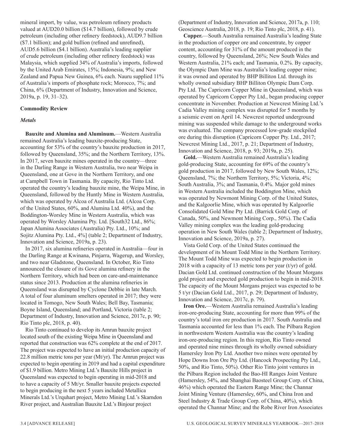mineral import, by value, was petroleum refinery products valued at AUD20.0 billion (\$14.7 billion), followed by crude petroleum (including other refinery feedstock), AUD9.7 billion (\$7.1 billion); and gold bullion (refined and unrefined), AUD5.6 billion (\$4.1 billion). Australia's leading supplier of crude petroleum (including other refinery feedstock) was Malaysia, which supplied 34% of Australia's imports, followed by the United Arab Emirates, 15%; Indonesia, 9%; and New Zealand and Papua New Guinea, 6% each. Nauru supplied 11% of Australia's imports of phosphate rock; Morocco, 7%; and China, 6% (Department of Industry, Innovation and Science, 2019a, p. 19, 31–32).

#### **Commodity Review**

#### *Metals*

**Bauxite and Alumina and Aluminum.**—Western Australia remained Australia's leading bauxite-producing State, accounting for 53% of the country's bauxite production in 2017, followed by Queensland, 35%; and the Northern Territory, 13%. In 2017, seven bauxite mines operated in the country—three in the Darling Range in Western Australia, two near Weipa in Queensland, one at Gove in the Northern Territory, and one at Campbell Town in Tasmania. By capacity, Rio Tinto Ltd. operated the country's leading bauxite mine, the Weipa Mine, in Queensland, followed by the Huntly Mine in Western Australia, which was operated by Alcoa of Australia Ltd. (Alcoa Corp. of the United States, 60%, and Alumina Ltd. 40%), and the Boddington-Worsley Mine in Western Australia, which was operated by Worsley Alumina Pty. Ltd. [South32 Ltd., 86%; Japan Alumina Associates (Australia) Pty. Ltd., 10%; and Sojitz Alumina Pty. Ltd., 4%] (table 2; Department of Industry, Innovation and Science, 2019a, p. 23).

In 2017, six alumina refineries operated in Australia—four in the Darling Range at Kwinana, Pinjarra, Wagerup, and Worsley, and two near Gladstone, Queensland. In October, Rio Tinto announced the closure of its Gove alumina refinery in the Northern Territory, which had been on care-and-maintenance status since 2013. Production at the alumina refineries in Queensland was disrupted by Cyclone Debbie in late March. A total of four aluminum smelters operated in 2017; they were located in Tomogo, New South Wales; Bell Bay, Tasmania; Boyne Island, Queensland; and Portland, Victoria (table 2; Department of Industry, Innovation and Science, 2017c, p. 90; Rio Tinto plc, 2018, p. 40).

Rio Tinto continued to develop its Amrun bauxite project located south of the existing Weipa Mine in Queensland and reported that construction was 62% complete at the end of 2017. The project was expected to have an initial production capacity of 22.8 million metric tons per year  $(Mt/yr)$ . The Amrun project was expected to begin operating in 2019 and had a capital expenditure of \$1.9 billion. Metro Mining Ltd.'s Bauxite Hills project in Queensland was expected to begin operating in mid-2018 and to have a capacity of 5 Mt/yr. Smaller bauxite projects expected to begin producing in the next 5 years included Metallica Minerals Ltd.'s Urquhart project, Metro Mining Ltd.'s Skarndon River project, and Australian Bauxite Ltd.'s Binjour project

(Department of Industry, Innovation and Science, 2017a, p. 110; Geoscience Australia, 2018, p. 19; Rio Tinto plc, 2018, p. 41).

**Copper.**—South Australia remained Australia's leading State in the production of copper ore and concentrate, by copper content, accounting for 31% of the amount produced in the country, followed by Queensland, 26%; New South Wales and Western Australia, 21% each; and Tasmania, 0.2%. By capacity, the Olympic Dam Mine was Australia's leading copper mine; it was owned and operated by BHP Billiton Ltd. through its wholly owned subsidiary BHP Billiton Olympic Dam Corp. Pty Ltd. The Capricorn Copper Mine in Queensland, which was operated by Capricorn Copper Pty Ltd., began producing copper concentrate in November. Production at Newcrest Mining Ltd.'s Cadia Valley mining complex was disrupted for 5 months by a seismic event on April 14. Newcrest reported underground mining was suspended while damage to the underground works was evaluated. The company processed low-grade stockpiled ore during this disruption (Capricorn Copper Pty. Ltd., 2017; Newcrest Mining Ltd., 2017, p. 21; Department of Industry, Innovation and Science, 2018, p. 93; 2019a, p. 25).

**Gold.**—Western Australia remained Australia's leading gold-producing State, accounting for 69% of the country's gold production in 2017, followed by New South Wales, 12%; Queensland, 7%; the Northern Territory, 5%; Victoria, 4%; South Australia, 3%; and Tasmania, 0.4%. Major gold mines in Western Australia included the Boddington Mine, which was operated by Newmont Mining Corp. of the United States, and the Kalgoorlie Mine, which was operated by Kalgoorlie Consolidated Gold Mine Pty Ltd. (Barrick Gold Corp. of Canada, 50%, and Newmont Mining Corp., 50%). The Cadia Valley mining complex was the leading gold-producing operation in New South Wales (table 2; Department of Industry, Innovation and Science, 2019a, p. 27).

Vista Gold Corp. of the United States continued the development of its Mount Todd Mine in the Northern Territory. The Mount Todd Mine was expected to begin production in 2018 with a capacity of 13 metric tons per year  $(t/yr)$  of gold. Dacian Gold Ltd. continued construction of the Mount Morgans gold project and expected gold production to begin in mid-2018. The capacity of the Mount Morgans project was expected to be 5 t/yr (Dacian Gold Ltd., 2017, p. 29; Department of Industry, Innovation and Science, 2017c, p. 79).

**Iron Ore.**—Western Australia remained Australia's leading iron-ore-producing State, accounting for more than 99% of the country's total iron ore production in 2017. South Australia and Tasmania accounted for less than 1% each. The Pilbara Region in northwestern Western Australia was the country's leading iron-ore-producing region. In this region, Rio Tinto owned and operated nine mines through its wholly owned subsidiary Hamersley Iron Pty Ltd. Another two mines were operated by Hope Downs Iron Ore Pty Ltd. (Hancock Prospecting Pty Ltd., 50%, and Rio Tinto, 50%). Other Rio Tinto joint ventures in the Pilbara Region included the Bao-HI Ranges Joint Venture (Hamersley, 54%, and Shanghai Baosteel Group Corp. of China, 46%) which operated the Eastern Range Mine; the Channar Joint Mining Venture (Hamersley, 60%, and China Iron and Steel Industry & Trade Group Corp. of China, 40%), which operated the Channar Mine; and the Robe River Iron Associates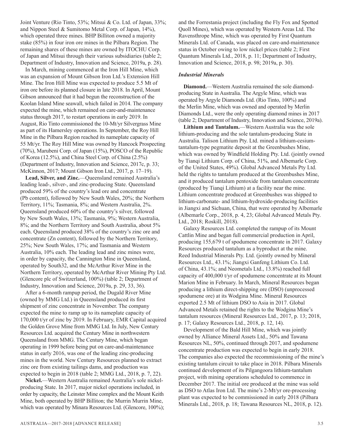Joint Venture (Rio Tinto, 53%; Mitsui & Co. Ltd. of Japan, 33%; and Nippon Steel & Sumitomo Metal Corp. of Japan, 14%), which operated three mines. BHP Billiton owned a majority stake (85%) in four iron ore mines in the Pilbara Region. The remaining shares of these mines are owned by ITOCHU Corp. of Japan and Mitsui through their various subsidiaries (table 2; Department of Industry, Innovation and Science, 2019a, p. 28).

In March, mining commenced at the Iron Hill Mine, which was an expansion of Mount Gibson Iron Ltd.'s Extension Hill Mine. The Iron Hill Mine was expected to produce 5.5 Mt of iron ore before its planned closure in late 2018. In April, Mount Gibson announced that it had begun the reconstruction of the Koolan Island Mine seawall, which failed in 2014. The company expected the mine, which remained on care-and-maintenance status through 2017, to restart operations in early 2019. In August, Rio Tinto commissioned the 10-Mt/yr Silvergrass Mine as part of its Hamersley operations. In September, the Roy Hill Mine in the Pilbara Region reached its nameplate capacity of 55 Mt/yr. The Roy Hill Mine was owned by Hancock Prospecting (70%), Marubeni Corp. of Japan (15%), POSCO of the Republic of Korea (12.5%), and China Steel Corp. of China (2.5%) (Department of Industry, Innovation and Science, 2017c, p. 33; McKinnon, 2017; Mount Gibson Iron Ltd., 2017, p. 17–19).

**Lead, Silver, and Zinc.**—Queensland remained Australia's leading lead-, silver-, and zinc-producing State. Queensland produced 59% of the country's lead ore and concentrate (Pb content), followed by New South Wales, 20%; the Northern Territory, 11%; Tasmania, 8%; and Western Australia, 2%. Queensland produced 60% of the country's silver, followed by New South Wales, 13%; Tasmania, 9%; Western Australia, 8%; and the Northern Territory and South Australia, about 5% each. Queensland produced 38% of the country's zinc ore and concentrate (Zn content), followed by the Northern Territory, 25%; New South Wales, 17%; and Tasmania and Western Australia, 10% each. The leading lead and zinc mines were, in order by capacity, the Cannington Mine in Queensland, operated by South32, and the McArthur River Mine in the Northern Territory, operated by McArthur River Mining Pty Ltd. (Glencore plc of Switzerland, 100%) (table 2; Department of Industry, Innovation and Science, 2019a, p. 29, 33, 36).

After a 6-month rampup period, the Dugald River Mine (owned by MMG Ltd.) in Queensland produced its first shipment of zinc concentrate in November. The company expected the mine to ramp up to its nameplate capacity of 170,000 t/yr of zinc by 2019. In February, EMR Capital acquired the Golden Grove Mine from MMG Ltd. In July, New Century Resources Ltd. acquired the Century Mine in northwestern Queensland from MMG. The Century Mine, which began operating in 1999 before being put on care-and-maintenance status in early 2016, was one of the leading zinc-producing mines in the world. New Century Resources planned to extract zinc ore from existing tailings dams, and production was expected to begin in 2018 (table 2; MMG Ltd., 2018, p. 7, 22).

**Nickel.**—Western Australia remained Australia's sole nickelproducing State. In 2017, major nickel operations included, in order by capacity, the Leinster Mine complex and the Mount Keith Mine, both operated by BHP Billiton; the Murrin Murrin Mine, which was operated by Minara Resources Ltd. (Glencore, 100%); and the Forrestania project (including the Fly Fox and Spotted Quoll Mines), which was operated by Western Areas Ltd. The Ravensthrope Mine, which was operated by First Quantum Minerals Ltd. of Canada, was placed on care-and-maintenance status in October owing to low nickel prices (table 2; First Quantum Minerals Ltd., 2018, p. 11; Department of Industry, Innovation and Science, 2018, p. 98; 2019a, p. 30).

#### *Industrial Minerals*

**Diamond.**—Western Australia remained the sole diamondproducing State in Australia. The Argyle Mine, which was operated by Argyle Diamonds Ltd. (Rio Tinto, 100%) and the Merlin Mine, which was owned and operated by Merlin Diamonds Ltd., were the only operating diamond mines in 2017 (table 2; Department of Industry, Innovation and Science, 2019a).

**Lithium and Tantalum.**—Western Australia was the sole lithium-producing and the sole tantalum-producing State in Australia. Talison Lithium Pty. Ltd. mined a lithium-cesiumtantalum-type pegmatite deposit at the Greenbushes Mine, which was owned by Windfield Holding Pty. Ltd. (jointly owned by Tianqi Lithium Corp. of China, 51%, and Albemarle Corp. of the United States, 49%). Global Advanced Metals Pty Ltd. held the rights to tantalum produced at the Greenbushes Mine, and it produced tantalum pentoxide from tantalum concentrate (produced by Tianqi Lithium) at a facility near the mine. Lithium concentrate produced at Greenbushes was shipped to lithium-carbonate- and lithium-hydroxide-producing facilities in Jiangxi and Sichuan, China, that were operated by Albemarle (Albemarle Corp., 2018, p. 4, 23; Global Advanced Metals Pty. Ltd., 2018; Roskill, 2018).

Galaxy Resources Ltd. completed the rampup of its Mount Cattlin Mine and began full commercial production in April, producing 155,679 t of spodumene concentrate in 2017. Galaxy Resources produced tantalum as a byproduct at the mine. Reed Industrial Minerals Pty. Ltd. (jointly owned by Mineral Resources Ltd., 43.1%; Jiangxi Ganfeng Lithium Co. Ltd. of China, 43.1%; and Neometals Ltd., 13.8%) reached full capacity of 400,000 t/yr of spodumene concentrate at its Mount Marion Mine in February. In March, Mineral Resources began producing a lithium direct-shipping ore (DSO) (unprocessed spodumene ore) at its Wodgina Mine. Mineral Resources exported 2.5 Mt of lithium DSO to Asia in 2017. Global Advanced Metals retained the rights to the Wodgina Mine's tantalum resources (Mineral Resources Ltd., 2017, p. 13; 2018, p. 17; Galaxy Resources Ltd., 2018, p. 12, 14).

Development of the Bald Hill Mine, which was jointly owned by Alliance Mineral Assets Ltd., 50% and Tawana Resources NL, 50%, continued through 2017, and spodumene concentrate production was expected to begin in early 2018. The companies also expected the recommissioning of the mine's existing tantalum circuit to take place in 2018. Pilbara Minerals continued development of its Pilgangoora lithium-tantalum project, with mining operations scheduled to commence in December 2017. The initial ore produced at the mine was sold as DSO to Atlas Iron Ltd. The mine's 2-Mt/yr ore-processing plant was expected to be commissioned in early 2018 (Pilbara Minerals Ltd., 2018, p. 18; Tawana Resources NL, 2018, p. 12).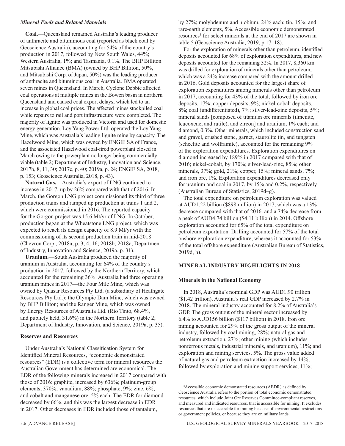#### *Mineral Fuels and Related Materials*

**Coal.**—Queensland remained Australia's leading producer of anthracite and bituminous coal (reported as black coal by Geoscience Australia), accounting for 54% of the country's production in 2017, followed by New South Wales, 44%; Western Australia, 1%; and Tasmania, 0.1%. The BHP Billiton Mitsubishi Alliance (BMA) (owned by BHP Billiton, 50%, and Mitsubishi Corp. of Japan, 50%) was the leading producer of anthracite and bituminous coal in Australia. BMA operated seven mines in Queensland. In March, Cyclone Debbie affected coal operations at multiple mines in the Bowen basin in northern Queensland and caused coal export delays, which led to an increase in global coal prices. The affected mines stockpiled coal while repairs to rail and port infrastructure were completed. The majority of lignite was produced in Victoria and used for domestic energy generation. Loy Yang Power Ltd. operated the Loy Yang Mine, which was Australia's leading lignite mine by capacity. The Hazelwood Mine, which was owned by ENGIE SA of France, and the associated Hazelwood coal-fired powerplant closed in March owing to the powerplant no longer being commercially viable (table 2; Department of Industry, Innovation and Science, 2017b, 8, 11, 30; 2017c, p. 40; 2019a, p. 24; ENGIE SA, 2018, p. 153; Geoscience Australia, 2018, p. 43).

**Natural Gas.**—Australia's export of LNG continued to increase in 2017, up by 26% compared with that of 2016. In March, the Gorgon LNG project commissioned its third of three production trains and ramped up production at trains 1 and 2, which were commissioned in 2016. The reported capacity for the Gorgon project was 15.6 Mt/yr of LNG. In October, production began at the Wheatstone LNG project, which was expected to reach its design capacity of 8.9 Mt/yr with the commissioning of its second production train in mid-2018 (Chevron Corp., 2018a, p. 3, 4, 16; 2018b; 2018c; Department of Industry, Innovation and Science, 2019a, p. 31).

**Uranium.**—South Australia produced the majority of uranium in Australia, accounting for 64% of the country's production in 2017, followed by the Northern Territory, which accounted for the remaining 36%. Australia had three operating uranium mines in 2017—the Four Mile Mine, which was owned by Quasar Resources Pty Ltd. (a subsidiary of Heathgate Resources Pty Ltd.); the Olympic Dam Mine, which was owned by BHP Billiton; and the Ranger Mine, which was owned by Energy Resources of Australia Ltd. (Rio Tinto, 68.4%, and publicly held, 31.6%) in the Northern Territory (table 2; Department of Industry, Innovation, and Science, 2019a, p. 35).

#### **Reserves and Resources**

Under Australia's National Classification System for Identified Mineral Resources, "economic demonstrated resources" (EDR) is a collective term for mineral resources the Australian Government has determined are economical. The EDR of the following minerals increased in 2017 compared with those of 2016: graphite, increased by 636%; platinum-group elements, 370%; vanadium, 88%; phosphate, 9%; zinc, 6%; and cobalt and manganese ore, 5% each. The EDR for diamond decreased by 66%, and this was the largest decrease in EDR in 2017. Other decreases in EDR included those of tantalum,

by 27%; molybdenum and niobium, 24% each; tin, 15%; and rare-earth elements, 5%. Accessible economic demonstrated resources<sup>3</sup> for select minerals at the end of 2017 are shown in table 5 (Geoscience Australia, 2019, p.17–18).

For the exploration of minerals other than petroleum, identified deposits accounted for 68% of exploration expenditures, and new deposits accounted for the remaining 32%. In 2017, 8,360 km was drilled for exploration of minerals other than petroleum, which was a 24% increase compared with the amount drilled in 2016. Gold deposits accounted for the largest share of exploration expenditures among minerals other than petroleum in 2017, accounting for 43% of the total, followed by iron ore deposits, 17%; copper deposits, 9%; nickel-cobalt deposits, 8%; coal (undifferentiated), 7%; silver-lead-zinc deposits, 5%; mineral sands [composed of titanium ore minerals (ilmenite, leucoxene, and rutile), and zircon] and uranium, 1% each; and diamond, 0.3%. Other minerals, which included construction sand and gravel, crushed stone, garnet, staurolite tin, and tungsten (scheelite and wolframite), accounted for the remaining 9% of the exploration expenditures. Exploration expenditures on diamond increased by 189% in 2017 compared with that of 2016; nickel-cobalt, by 170%; silver-lead-zinc, 85%; other minerals, 37%; gold, 21%; copper, 15%; mineral sands, 7%; and iron ore, 1%. Exploration expenditures decreased only for uranium and coal in 2017, by 15% and 0.2%, respectively (Australian Bureau of Statistics, 2019d–g).

The total expenditure on petroleum exploration was valued at AUD1.22 billion (\$898 million) in 2017, which was a 13% decrease compared with that of 2016. and a 74% decrease from a peak of AUD4.74 billion (\$4.11 billion) in 2014. Offshore exploration accounted for 65% of the total expenditure on petroleum exportation. Drilling accounted for 57% of the total onshore exploration expenditure, whereas it accounted for 53% of the total offshore expenditure (Australian Bureau of Statistics, 2019d, h).

#### **MINERAL INDUSTRY HIGHLIGHTS IN 2018**

#### **Minerals in the National Economy**

In 2018, Australia's nominal GDP was AUD1.90 trillion (\$1.42 trillion). Australia's real GDP increased by 2.7% in 2018. The mineral industry accounted for 8.2% of Australia's GDP. The gross output of the mineral sector increased by 6.4% to AUD156 billion (\$117 billion) in 2018. Iron ore mining accounted for 29% of the gross output of the mineral industry, followed by coal mining, 28%; natural gas and petroleum extraction, 27%; other mining (which includes nonferrous metals, industrial minerals, and uranium), 11%; and exploration and mining services, 5%. The gross value added of natural gas and petroleum extraction increased by 14%, followed by exploration and mining support services, 11%;

<sup>3</sup> Accessible economic demonstated resources (AEDR) as defined by Geoscience Australia refers to the portion of total economic demonstrated resources, which include Joint Ore Reserves Committee-compliant reserves, and measured and indicated resources, that is accessible for mining. It excludes resources that are inaccessible for mining because of environmental restrictions or government policies, or because they are on military lands.

<sup>3.6 [</sup>ADVANCE RELEASE] U.S. GEOLOGICAL SURVEY MINERALS YEARBOOK—2017–2018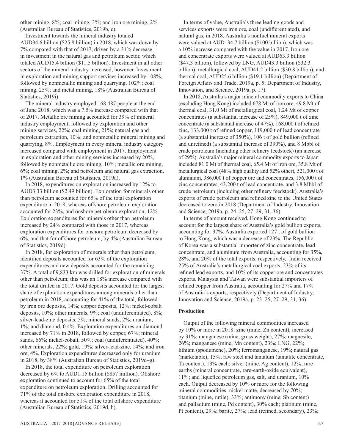other mining, 8%; coal mining, 3%; and iron ore mining, 2% (Australian Bureau of Statistics, 2019b, c).

Investment towards the mineral industry totaled AUD34.6 billion (\$25.8 billion) in 2018, which was down by 7% compared with that of 2017, driven by a 31% decrease in investment in the natural gas and petroleum sector, which totaled AUD15.4 billion (\$11.5 billion). Investment in all other sectors of the mineral industry increased, however. Investment in exploration and mining support services increased by 108%, followed by nonmetallic mining and quarrying, 102%; coal mining, 25%; and metal mining, 18% (Australian Bureau of Statistics, 2019i).

The mineral industry employed 168,487 people at the end of June 2018, which was a 7.5% increase compared with that of 2017. Metallic ore mining accounted for 39% of mineral industry employment, followed by exploration and other mining services, 22%; coal mining, 21%; natural gas and petroleum extraction, 10%; and nonmetallic mineral mining and quarrying, 8%. Employment in every mineral industry category increased compared with employment in 2017. Employment in exploration and other mining services increased by 20%, followed by nonmetallic ore mining, 10%; metallic ore mining, 6%; coal mining, 2%; and petroleum and natural gas extraction, 1% (Australian Bureau of Statistics, 2019a).

In 2018, expenditures on exploration increased by 12% to AUD3.33 billion (\$2.49 billion). Exploration for minerals other than petroleum accounted for 65% of the total exploration expenditure in 2018, whereas offshore petroleum exploration accounted for 23%, and onshore petroleum exploration, 12%. Exploration expenditures for minerals other than petroleum increased by 24% compared with those in 2017, whereas exploration expenditures for onshore petroleum decreased by 6%, and that for offshore petroleum, by 4% (Australian Bureau of Statistics, 2019d).

In 2018, for exploration of minerals other than petroleum, identified deposits accounted for 63% of the exploration expenditures and new deposits accounted for the remaining 37%. A total of 9,833 km was drilled for exploration of minerals other than petroleum; this was an 18% increase compared with the total drilled in 2017. Gold deposits accounted for the largest share of exploration expenditures among minerals other than petroleum in 2018, accounting for 41% of the total, followed by iron ore deposits, 14%; copper deposits, 12%; nickel-cobalt deposits, 10%; other minerals, 9%; coal (undifferentiated), 8%; silver-lead-zinc deposits, 5%; mineral sands, 2%; uranium, 1%; and diamond, 0.4%. Exploration expenditures on diamond increased by 71% in 2018, followed by copper, 67%; mineral sands, 66%; nickel-cobalt, 50%; coal (undifferentiated), 40%; other minerals, 22%; gold, 19%; silver-lead-zinc, 14%; and iron ore, 4%. Exploration expenditures decreased only for uranium in 2018, by 38% (Australian Bureau of Statistics, 2019d–g).

In 2018, the total expenditure on petroleum exploration decreased by 6% to AUD1.15 billion (\$857 million). Offshore exploration continued to account for 65% of the total expenditure on petroleum exploration. Drilling accounted for 71% of the total onshore exploration expenditure in 2018, whereas it accounted for 51% of the total offshore expenditure (Australian Bureau of Statistics, 2019d, h).

In terms of value, Australia's three leading goods and services exports were iron ore, coal (undifferentiated), and natural gas, in 2018. Australia's nonfuel mineral exports were valued at AUD134.7 billion (\$100 billion), which was a 10% increase compared with the value in 2017. Iron ore and concentrate exports were valued at AUD63.3 billion (\$47.3 billion), followed by LNG, AUD43.3 billion (\$32.3 billion); metallurgical coal, AUD41.2 billion (\$30.8 billion); and thermal coal, AUD25.6 billion (\$19.1 billion) (Department of Foreign Affairs and Trade, 2019a, p. 5; Department of Industry, Innovation, and Science, 2019a, p. 17).

In 2018, Australia's major mineral commodity exports to China (excluding Hong Kong) included 678 Mt of iron ore, 49.8 Mt of thermal coal, 31.0 Mt of metallurgical coal, 1.24 Mt of copper concentrates (a substantial increase of 25%), 849,000 t of zinc concentrate (a substantial increase of 47%), 168,000 t of refined zinc, 133,000 t of refined copper, 119,000 t of lead concentrate (a substantial increase of 350%), 106 t of gold bullion (refined and unrefined) (a substantial increase of 390%), and 8 Mbbl of crude petroleum (including other refinery feedstock) (an increase of 29%). Australia's major mineral commodity exports to Japan included 81.0 Mt of thermal coal, 65.4 Mt of iron ore, 35.8 Mt of metallurgical coal (48% high quality and 52% other), 521,000 t of aluminum, 386,000 t of copper ore and concentrates, 156,000 t of zinc concentrates, 43,200 t of lead concentrate, and 3.8 Mbbl of crude petroleum (including other refinery feedstock). Australia's exports of crude petroleum and refined zinc to the United States decreased to zero in 2018 (Department of Industry, Innovation and Science, 2019a, p. 24–25, 27–29, 31, 36).

In terms of amount received, Hong Kong continued to account for the largest share of Australia's gold bullion exports, accounting for 37%. Australia exported 127 t of gold bullion to Hong Kong, which was a decrease of 23%. The Republic of Korea was a substantial importer of zinc concentrate, lead concentrate, and aluminum from Australia, accounting for 35%, 28%, and 20% of the total exports, respectively,. India received 25% of Australia's metallurgical coal exports, 23% of its refined lead exports, and 10% of its copper ore and concentrates exports. Malaysia and Taiwan were substantial importers of refined copper from Australia, accounting for 27% and 17% of Australia's exports, respectively (Department of Industry, Innovation and Science, 2019a, p. 23–25, 27–29, 31, 36).

#### **Production**

Output of the following mineral commodities increased by 10% or more in 2018: zinc (mine, Zn content), increased by 31%; manganese (mine, gross weight), 27%; magnesite, 26%; manganese (mine, Mn content), 23%; LNG, 22%; lithium (spodumene), 20%; ferromanganese, 19%; natural gas (marketable), 15%; raw steel and tantalum (tantalite concentrate, Ta content), 13% each; silver (mine, Ag content), 12%; rare earths (mineral concentrate, rare-earth-oxide equivalent), 11%; and liquefied petroleum gas, salt, and uranium, 10% each. Output decreased by 10% or more for the following mineral commodities: nickel matte, decreased by 70%; titanium (mine, rutile), 33%; antimony (mine, Sb content) and palladium (mine, Pd content), 30% each; platinum (mine, Pt content), 29%; barite, 27%; lead (refined, secondary), 23%;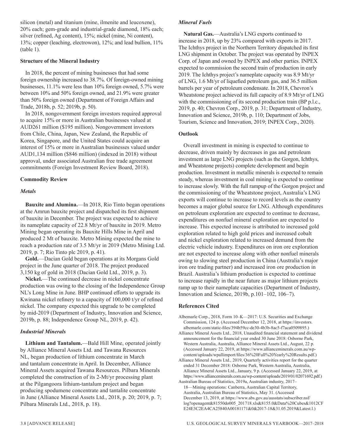silicon (metal) and titanium (mine, ilmenite and leucoxene), 20% each; gem-grade and industrial-grade diamond, 18% each; silver (refined, Ag content), 15%; nickel (mine, Ni content), 13%; copper (leaching, electrowon), 12%; and lead bullion, 11% (table 1).

#### **Structure of the Mineral Industry**

In 2018, the percent of mining businesses that had some foreign ownership increased to 38.7%. Of foreign-owned mining businesses, 11.1% were less than 10% foreign owned, 5.7% were between 10% and 50% foreign owned, and 21.9% were greater than 50% foreign owned (Department of Foreign Affairs and Trade, 2018b, p. 52; 2019b, p. 50).

In 2018, nongovernment foreign investors required approval to acquire 15% or more in Australian businesses valued at AUD261 million (\$195 million). Nongovernment investors from Chile, China, Japan, New Zealand, the Republic of Korea, Singapore, and the United States could acquire an interest of 15% or more in Australian businesses valued under AUD1,134 million (\$846 million) (indexed in 2018) without approval, under associated Australian free trade agreement commitments (Foreign Investment Review Board, 2018).

#### **Commodity Review**

#### *Metals*

**Bauxite and Alumina.**—In 2018, Rio Tinto began operations at the Amrun bauxite project and dispatched its first shipment of bauxite in December. The project was expected to achieve its nameplate capacity of 22.8 Mt/yr of bauxite in 2019. Metro Mining began operating its Bauxite Hills Mine in April and produced 2 Mt of bauxite. Metro Mining expected the mine to reach a production rate of 3.5 Mt/yr in 2019 (Metro Mining Ltd. 2019, p. 7; Rio Tinto plc 2019, p. 41).

**Gold.**—Dacian Gold began operations at its Morgans Gold project in the June quarter of 2018. The project produced 3,150 kg of gold in 2018 (Dacian Gold Ltd., 2019, p. 3).

**Nickel.**—The continued decrease in nickel concentrate production was owing to the closing of the Independence Group NL's Long Mine in June. BHP continued efforts to upgrade its Kwinana nickel refinery to a capacity of 100,000 t/yr of refined nickel. The company expected this upgrade to be completed by mid-2019 (Department of Industry, Innovation and Science, 2019b, p. 88; Independence Group NL, 2019, p. 42).

#### *Industrial Minerals*

**Lithium and Tantalum.**—Bald Hill Mine, operated jointly by Alliance Mineral Assets Ltd. and Tawana Resources NL, began production of lithium concentrate in March and tantalum concentrate in April. In December, Alliance Mineral Assets acquired Tawana Resources. Pilbara Minerals completed the construction of its 2-Mt/yr processing plant at the Pilgangoora lithium-tantalum project and began producing spodumene concentrate and tantalite concentrate in June (Alliance Mineral Assets Ltd., 2018, p. 20; 2019, p. 7; Pilbara Minerals Ltd., 2018, p. 18).

#### *Mineral Fuels*

**Natural Gas.**—Australia's LNG exports continued to increase in 2018, up by 23% compared with exports in 2017. The Ichthys project in the Northern Territory dispatched its first LNG shipment in October. The project was operated by INPEX Corp. of Japan and owned by INPEX and other parties. INPEX expected to commission the second train of production in early 2019. The Ichthys project's nameplate capacity was 8.9 Mt/yr of LNG, 1.6 Mt/yr of liquefied petroleum gas, and 36.5 million barrels per year of petroleum condensate. In 2018, Chevron's Wheatstone project achieved its full capacity of 8.9 Mt/yr of LNG with the commissioning of its second production train (BP p.l.c., 2019, p. 40; Chevron Corp., 2019, p. 31; Department of Industry, Innovation and Science, 2019b, p. 110; Department of Jobs, Tourism, Science and Innovation, 2019; INPEX Corp., 2020).

#### **Outlook**

Overall investment in mining is expected to continue to decrease, driven mainly by decreases in gas and petroleum investment as large LNG projects (such as the Gorgon, Ichthys, and Wheatstone projects) complete development and begin production. Investment in metallic minerals is expected to remain steady, whereas investment in coal mining is expected to continue to increase slowly. With the full rampup of the Gorgon project and the commissioning of the Wheatstone project, Australia's LNG exports will continue to increase to record levels as the country becomes a major global source for LNG. Although expenditures on petroleum exploration are expected to continue to decrease, expenditures on nonfuel mineral exploration are expected to increase. This expected increase is attributed to increased gold exploration related to high gold prices and increased cobalt and nickel exploration related to increased demand from the electric vehicle industry. Expenditures on iron ore exploration are not expected to increase along with other nonfuel minerals owing to slowing steel production in China (Australia's major iron ore trading partner) and increased iron ore production in Brazil. Australia's lithium production is expected to continue to increase rapidly in the near future as major lithium projects ramp up to their nameplate capacities (Department of Industry, Innovation and Science, 2019b, p.101–102, 106–7).

#### **References Cited**

- Albemarle Corp., 2018, Form 10–K—2017: U.S. Securities and Exchange Commission, 124 p. (Accessed December 12, 2018, at https://investors. albemarle.com/static-files/394b59cc-de30-4b3b-8ac5-f7aca0509895.)
- Alliance Mineral Assets Ltd., 2018, Unaudited financial statement and dividend announcement for the financial year ended 30 June 2018: Osborne Park, Western Australia, Australia, Alliance Mineral Assets Ltd., August, 22 p. (Accessed January 22, 2019, at https://www.allianceminerals.com.au/wpcontent/uploads/wpallimport/files/36%20Full%20Yearly%20Results.pdf.)
- Alliance Mineral Assets Ltd., 2019, Quarterly activities report for the quarter ended 31 December 2018: Osborne Park, Western Australia, Australia, Alliance Mineral Assets Ltd., January, 9 p. (Accessed January 22, 2019, at https://www.allianceminerals.com.au/wp-content/uploads/2019/01/02071692.pdf.)

Australian Bureau of Statistics, 2019a, Australian industry, 2017– 18—Mining operations: Canberra, Australian Capital Territory, Australia, Australian Bureau of Statistics, May 31. (Accessed December 13, 2019, at https://www.abs.gov.au/ausstats/subscriber.nsf/ log?openagent&81550do005\_201718.xls&8155.0&Data%20Cubes&1012CF E24E3C2EA4CA25840A00181171&0&2017-18&31.05.2019&Latest.l.)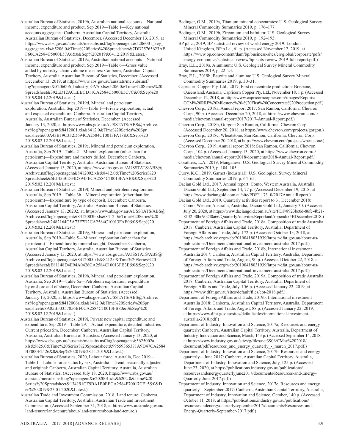- Australian Bureau of Statistics, 2019b, Australian national accounts—National income, expenditure and product, Sep 2019—Table 1—Key national accounts aggregates: Canberra, Australian Capital Territory, Australia, Australian Bureau of Statistics, December. (Accessed December 13, 2019, at https://www.abs.gov.au/ausstats/meisubs.nsf/log?openagent&5206001\_key\_ aggregates.xls&5206.0&Time%20Series%20Spreadsheet&7DD25765623AB F60CA2584C5000E57A6&0&Sep%202019&04.12.2019&Latest.)
- Australian Bureau of Statistics, 2019c, Australian national accounts—National income, expenditure and product, Sep 2019—Table 6—Gross value added by industry, chain volume measures: Canberra, Australian Capital Territory, Australia, Australian Bureau of Statistics, December. (Accessed December 13, 2019, at https://www.abs.gov.au/ausstats/meisubs.nsf/ log?openagent&5206006\_Industry\_GVA.xls&5206.0&Time%20Series%20 Spreadsheet&392ED12ACEEBCD11CA2584C5000E5C7C&0&Sep%20 2019&04.12.2019&Latest.)
- Australian Bureau of Statistics, 2019d, Mineral and petroleum exploration, Australia, Sep 2019—Table 1—Private exploration, actual and expected expenditure: Canberra, Australian Capital Territory, Australia, Australian Bureau of Statistics, December. (Accessed January 13, 2020, at https://www.abs.gov.au/AUSSTATS/ABS@Archive. nsf/log?openagent&8412001.xls&8412.0&Time%20Series%20Spr eadsheet&00A43B19C3F2D694CA2584C10013FA18&0&Sep%20 2019&02.12.2019&Latest.)
- Australian Bureau of Statistics, 2019e, Mineral and petroleum exploration, Australia, Sep 2019—Table 2—Mineral exploration (other than for petroleum)—Expenditure and meters drilled, December: Canberra, Australian Capital Territory, Australia, Australian Bureau of Statistics. (Accessed January 13, 2020, at https://www.abs.gov.au/AUSSTATS/ABS@ Archive.nsf/log?openagent&8412002.xls&8412.0&Time%20Series%20 Spreadsheet&6E145E0D34D894FECA2584C10013FAAB&0&Sep%20 2019&02.12.2019&Latest.)
- Australian Bureau of Statistics, 2019f, Mineral and petroleum exploration, Australia, Sep 2019—Table 3b—Mineral exploration (other than for petroleum)—Expenditure by type of deposit, December: Canberra, Australian Capital Territory, Australia, Australian Bureau of Statistics. (Accessed January 13, 20202, at, https://www.abs.gov.au/AUSSTATS/ABS@ Archive.nsf/log?openagent&8412003b.xls&8412.0&Time%20Series%20 Spreadsheet&2482164C5A73F7D2CA2584C10013FAE0&0&Sep%20 2019&02.12.2019&Latest.)
- Australian Bureau of Statistics, 2019g, Mineral and petroleum exploration, Australia, Sep 2019—Table 5—Mineral exploration (other than for petroleum)—Expenditure by mineral sought, December: Canberra, Australian Capital Territory, Australia, Australian Bureau of Statistics. (Accessed January 13, 2020, at https://www.abs.gov.au/AUSSTATS/ABS@ Archive.nsf/log?openagent&8412005.xls&8412.0&Time%20Series%20 Spreadsheet&E81148D4E94A0426CA2584C10013FB3E&0&Sep%20 2019&02.12.2019&Latest.)
- Australian Bureau of Statistics, 2019h, Mineral and petroleum exploration, Australia, Sep 2019—Table 6a—Petroleum exploration, expenditure by onshore and offshore, December: Canberra, Australian Capital Territory, Australia, Australian Bureau of Statistics. (Accessed January 13, 2020, at https://www.abs.gov.au/AUSSTATS/ABS@Archive. nsf/log?openagent&8412006a.xls&8412.0&Time%20Series%20Spr eadsheet&8A05BF3357856BF0CA2584C10013FB80&0&Sep%20 2019&02.12.2019&Latest.)
- Australian Bureau of Statistics, 2019i, Private new capital expenditure and expenditure, Sep 2019—Table 2A—Actual expenditure, detailed industries— Current prices \$m, December: Canberra, Australian Capital Territory, Australia, Australian Bureau of Statistics. (Accessed January 13, 2020, at https://www.abs.gov.au/ausstats/meisubs.nsf/log?openagent&5625002a. xls&5625.0&Time%20Series%20Spreadsheet&99559365371A9D47CA2584 BF000E2426&0&Sep%202019&28.11.2019&Latest.)
- Australian Bureau of Statistics, 2020, Labour force, Australia, Dec 2019— Table 1—Labour force status by sex, Australia—Trend, seasonally adjusted, and original: Canberra, Australian Capital Territory, Australia, Australian Bureau of Statistics. (Accessed July 18, 2020, https://www.abs.gov.au/ ausstats/meisubs.nsf/log?openagent&6202001.xls&6202.0&Time%20 Series%20Spreadsheet&134191CF9BA1B0EECA2584F70017CF15&0&D ec%202019&23.01.2020&Latest.)
- Australian Trade and Investment Commission, 2018, Land tenure: Canberra, Australian Capital Territory, Australia, Australian Trade and Investment Commission. (Accessed September 31, 2018, at http://www.austrade.gov.au/ land-tenure/land-tenure/about-land-tenure/about-land-tenure.)
- Bedinger, G.M., 2019a, Titanium mineral concentrates: U.S. Geological Survey Mineral Commodity Summaries 2019, p. 176–177.
- Bedinger, G.M., 2019b, Zirconium and hafnium: U.S. Geological Survey Mineral Commodity Summaries 2019, p. 192–193.

BP p.l.c., 2019, BP statistical review of world energy 2019: London, United Kingdom, BP p.l.c., 61 p. (Accessed November 12, 2019, at https://www.bp.com/content/dam/bp/business-sites/en/global/corporate/pdfs/ energy-economics/statistical-review/bp-stats-review-2019-full-report.pdf.)

- Bray, E.L., 2019a, Aluminum: U.S. Geological Survey Mineral Commodity Summaries 2019, p. 22–23.
- Bray, E.L., 2019b, Bauxite and alumina: U.S. Geological Survey Mineral Commodity Summaries 2019, p. 30–31.
- Capricorn Copper Pty. Ltd., 2017, First concentrate production: Brisbane, Queensland, Australia, Capricorn Copper Pty. Ltd., November 18, 1 p. (Accessed December 12, 2018, at http://www.capricorncopper.com/images/Reports/ CCM%20RRP%20Milestone%20-%20First%20Concentrate%20Production.pdf.)
- Chevron Corp., 2018a, Annual report 2017: San Ramon, California, Chevron Corp., 90 p. (Accessed December 20, 2018, at https://www.chevron.com/-/ media/chevron/annual-report/2017/2017-Annual-Report.pdf.)
- Chevron Corp., 2018b, Gorgon: San Ramon, California, Chevron Corp. (Accessed December 20, 2018, at https://www.chevron.com/projects/gorgon.)
- Chevron Corp., 2018c, Wheatstone: San Ramon, California, Chevron Corp. (Accessed December 20, 2018, at https://www.chevron.com/projects/wheatstone.)
- Chevron Corp., 2019, Annual report 2018: San Ramon, California, Chevron Corp., 104 p. (Accessed January 13, 2020, at https://www.chevron.com/-/ media/chevron/annual-report/2018/documents/2018-Annual-Report.pdf.)
- Corathers, L.A., 2019, Manganese: U.S. Geological Survey Mineral Commodity Summaries 2019, p. 104–105.
- Curry, K.C., 2019, Garnet (industrial): U.S. Geological Survey Mineral Commodity Summaries 2019, p. 64–65.
- Dacian Gold Ltd., 2017, Annual report: Como, Western Australia, Australia, Dacian Gold Ltd., September 14, 77 p. (Accessed December 19, 2018, at https://www.daciangold.com.au/site/PDF/1173\_0/2017AnnualReport.)
- Dacian Gold Ltd., 2019, Quarterly activities report to 31 December 2018: Como, Western Australia, Australia, Dacian Gold Ltd., January 30. (Accessed July 20, 2020, at https://www.daciangold.com.au/site/PDF/8923bc0d-86fc-4b21- 8132-30bc90240a66/QuarterlyActivitiesReportandAppendix5BDecember2018.)
- Department of Foreign Affairs and Trade, 2018a, Composition of trade Australia 2017: Canberra, Australian Capital Territory, Australia, Department of Foreign Affairs and Trade, July, 172 p. (Accessed October 13, 2018, at https://web.archive.org/web/20190418031939/https://dfat.gov.au/about-us/ publications/Documents/international-investment-australia-2017.pdf.)
- Department of Foreign Affairs and Trade, 2018b, International investment Australia 2017: Canberra, Australian Capital Territory, Australia, Department of Foreign Affairs and Trade, August, 90 p. (Accessed October 22, 2018, at https://web.archive.org/web/20190418031939/https://dfat.gov.au/about-us/ publications/Documents/international-investment-australia-2017.pdf.)
- Department of Foreign Affairs and Trade, 2019a, Composition of trade Australia 2018: Canberra, Australian Capital Territory, Australia, Department of Foreign Affairs and Trade, July, 156 p. (Accessed January 22, 2019, at https://www.dfat.gov.au/sites/default/files/cot-2018.pdf.)
- Department of Foreign Affairs and Trade, 2019b, International investment Australia 2018: Canberra, Australian Capital Territory, Australia, Department of Foreign Affairs and Trade, August, 88 p. (Accessed January 22, 2019, at https://www.dfat.gov.au/sites/default/files/international-investmentaustralia-2018.pdf.)
- Department of Industry, Innovation and Science, 2017a, Resources and energy quarterly: Canberra, Australian Capital Territory, Australia, Department of Industry, Innovation and Science, March, 143 p. (Accessed September 14, 2018, at https://www.industry.gov.au/sites/g/files/net3906/f/May%202018/ document/pdf/resources\_and\_energy\_quarterly\_-\_march\_2017.pdf.)
- Department of Industry, Innovation and Science, 2017b, Resources and energy quarterly—June 2017: Canberra, Australian Capital Territory, Australia, Department of Industry, Innovation and Science, July, 125 p. (Accessed June 23, 2020, at https://publications.industry.gov.au/publications/ resourcesandenergyquarterlyjune2017/documents/Resources-and-Energy-Quarterly-June-2017.pdf.)
- Department of Industry, Innovation and Science, 2017c, Resources and energy quarterly—September 2017: Canberra, Australian Capital Territory, Australia, Department of Industry, Innovation and Science, October, 140 p. (Accessed October 11, 2018, at https://publications.industry.gov.au/publications/ resourcesandenergyquarterlyseptember2017/documents/Resources-and-Energy-Quarterly-September-2017.pdf.)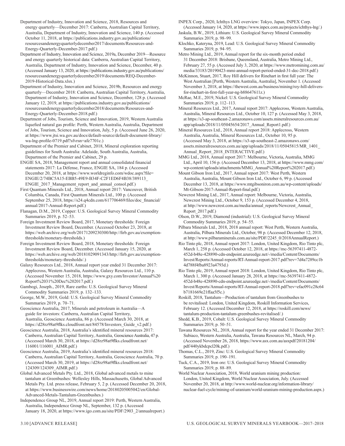- Department of Industry, Innovation and Science, 2018, Resources and energy quarterly—December 2017: Canberra, Australian Capital Territory, Australia, Department of Industry, Innovation and Science, 140 p. (Accessed October 11, 2018, at https://publications.industry.gov.au/publications/ resourcesandenergyquarterlydecember2017/documents/Resources-and-Energy-Quarterly-December-2017.pdf.)
- Department of Industry, Innovation and Science, 2019a, December 2019—Resource and energy quarterly historical data: Canberra, Australian Capital Territory, Australia, Department of Industry, Innovation and Science, December, 40 p. (Accessed January 13, 2020, at https://publications.industry.gov.au/publications/ resourcesandenergyquarterlydecember2019/documents/REQ-December-2019-Historical-Data.xlsx.)
- Department of Industry, Innovation and Science, 2019b, Resources and energy quarterly—December 2018: Canberra, Australian Capital Territory, Australia, Department of Industry, Innovation and Science, December, 128 p. (Accessed January 12, 2019, at https://publications.industry.gov.au/publications/ resourcesandenergyquarterlydecember2018/documents/Resources-and-Energy-Quarterly-December-2018.pdf.)
- Department of Jobs, Tourism, Science and Innovation, 2019, Western Australia liquefied natural gas profile: Perth, Western Australia, Australia, Department of Jobs, Tourism, Science and Innovation, July, 5 p. (Accessed June 26, 2020, at https://www.jtsi.wa.gov.au/docs/default-source/default-document-library/ wa-lng-profile-0719.pdf?sfvrsn=afe7701c.)
- Department of the Premier and Cabinet, 2018, Mineral exploration reporting guidelines for South Australia: Adelaide, South Australia, Australia, Department of the Premier and Cabinet, 29 p.
- ENGIE SA, 2018, Management report and annual consolidated financial statements 2017: La Défense, France, ENGIE SA, 184 p. (Accessed December 20, 2018, at https://www.worldreginfo.com/wdoc.aspx?file= ENGIE/2/74BC5A15-EBB5-49E9-B34F-C2F1ED6F4B38/389113\_ ENGIE\_2017\_Management\_report\_and\_annual\_consol.pdf.)
- First Quantum Minerals Ltd., 2018, Annual report 2017: Vancouver, British Columbia, Canada, First Quantum Minerals Ltd., 100 p. (Accessed September 25, 2018, https://s24.q4cdn.com/617706469/files/doc\_financial/ annual/2017-Annual-Report.pdf.)
- Flanagan, D.M., 2019, Copper: U.S. Geological Survey Mineral Commodity Summaries 2019, p. 52–53.
- Foreign Investment Review Board, 2017, Monetary thresholds: Foreign Investment Review Board, December. (Accessed October 23, 2018, at https://web.archive.org/web/20171209230300/http://firb.gov.au/exemptionthresholds/monetary-thresholds.)
- Foreign Investment Review Board, 2018, Monetary thresholds: Foreign Investment Review Board, December. (Accessed January 15, 2020, at https://web.archive.org/web/20181029091343/http://firb.gov.au/exemptionthresholds/monetary-thresholds/.)
- Galaxy Resources Ltd., 2018, Annual report year ended 31 December 2017: Applecross, Western Australia, Australia, Galaxy Resources Ltd., 110 p. (Accessed November 15, 2018, https://www.gxy.com/Investor/Annual%20 Report%2031%20Dec%202017.pdf.)
- Gambogi, Joseph., 2019, Rare earths: U.S. Geological Survey Mineral Commodity Summaries 2019, p. 132–133.
- George, M.W., 2019, Gold: U.S. Geological Survey Mineral Commodity Summaries 2019, p. 70–71.
- Geoscience Australia, 2017, Minerals and petroleum in Australia—A guide for investors: Canberra, Australian Capital Territory, Australia, Geoscience Australia, 86 p. (Accessed March 30, 2018, at https://d28rz98at9flks.cloudfront.net/84578/Investors\_Guide\_v2.pdf.)
- Geoscience Australia, 2018, Australia's identified mineral resources 2017: Canberra, Australian Capital Territory, Australia, Geoscience Australia, 47 p. (Accessed March 30, 2018, at https://d28rz98at9flks.cloudfront.net/ 116001/116001\_AIMR.pdf.)
- Geoscience Australia, 2019, Australia's identified mineral resources 2018: Canberra, Australian Capital Territory, Australia, Geoscience Australia, 70 p. (Accessed March 30, 2019, at https://d28rz98at9flks.cloudfront.net/ 124309/124309\_AIMR.pdf.)
- Global Advanced Metals Pty. Ltd., 2018, Global advanced metals to mine tantalum at Greenbushes: Wellesley Hills, Massachusetts, Global Advanced Metals Pty. Ltd. press release, February 5, 2 p. (Accessed December 20, 2018, at https://www.businesswire.com/news/home/20180205005042/en/Global-Advanced-Metals-Tantalum-Greenbushes.)
- Independence Group NL, 2019, Annual report 2019: Perth, Western Australia, Australia, Independence Group NL, September, 132 p. (Accessed January 18, 2020, at https://www.igo.com.au/site/PDF/2903\_2/annualreport.)
- INPEX Corp., 2020, Ichthys LNG overview: Tokyo, Japan, INPEX Corp. (Accessed January 14, 2020, at https://www.inpex.com.au/projects/ichthys-lng/.)
- Jaskula, B.W., 2019, Lithium: U.S. Geological Survey Mineral Commodity Summaries 2019, p. 98–99.
- Klochko, Kateryna, 2019, Lead: U.S. Geological Survey Mineral Commodity Summaries 2019, p. 94–95.
- Metro Mining Ltd., 2019, Annual report for the six-month period ended 31 December 2018: Brisbane, Queensland, Australia, Metro Mining Ltd., February 27, 55 p. (Accessed July 3, 2020, at https://www.metromining.com.au/ media/33183/20190423-mmi-annual-report-period-ended-31-dec-2018.pdf.)
- McKinnon, Stuart, 2017, Roy Hill delivers for Rinehart in first full year: The West Australian [Perth, Western Australia, Australia], November 1. (Accessed November 3, 2018, at https://thewest.com.au/business/mining/roy-hill-deliversfor-rinehart-in-first-full-year-ng-b88647611z.)
- McRae, M.E., 2019, Nickel: U.S. Geological Survey Mineral Commodity Summaries 2019, p. 112–113.
- Mineral Resources Ltd., 2017, Annual report 2017: Applecross, Western Australia, Australia, Mineral Resources Ltd., October 10, 127 p. (Accessed May 3, 2018, at https://s3-ap-southeast-2.amazonaws.com/assets.mineralresources.com.au/ app/uploads/2018/11/05045654/2017\_Annual\_Report1.pdf.)
- Mineral Resources Ltd., 2018, Annual report 2018: Applecross, Western Australia, Australia, Mineral Resources Ltd., October 10, 95 p. (Accessed May 3, 2018, at https://s3-ap-southeast-2.amazonaws.com/ assets.mineralresources.com.au/app/uploads/2018/11/05045815/MR\_1401\_ Annual Report 2018 INTERACTIVE.pdf.)
- MMG Ltd., 2018, Annual report 2017: Melbourne, Victoria, Australia, MMG Ltd., April 10, 156 p. (Accessed December 13, 2018, at https://www.mmg.com/ wp-content/uploads/attachments/MMG\_Annual%20Report%202017.pdf.)
- Mount Gibson Iron Ltd., 2017, Annual report 2017: West Perth, Western Australia, Australia, Mount Gibson Iron Ltd., October 6, 99 p. (Accessed December 13, 2018, at https://www.mtgibsoniron.com.au/wp-content/uploads/ Mt-Gibson-2017-Annual-Report-final.pdf.)
- Newcrest Mining Ltd., 2017, Annual report: Melbourne, Victoria, Australia, Newcrest Mining Ltd., October 9, 153 p. (Accessed December 4, 2018, at http://www.newcrest.com.au/media/annual\_reports/Newcrest\_Annual\_ Report\_2017.pdf.)
- Olson, D.W., 2019, Diamond (industrial): U.S. Geological Survey Mineral Commodity Summaries 2019, p. 54–55.
- Pilbara Minerals Ltd., 2018, 2018 annual report: West Perth, Western Australia, Australia, Pilbara Minerals Ltd., October, 98 p. (Accessed December 12, 2018, at http://www.pilbaraminerals.com.au/site/PDF/2245\_0/2018AnnualReport.)
- Rio Tinto plc, 2018, Annual report 2017: London, United Kingdom, Rio Tinto plc, March 1, 258 p. (Accessed October 12, 2018, at https://mc-56397411-4872- 452d-b48e-428890-cdn-endpoint.azureedge.net/-/media/Content/Documents/ Invest/Reports/Annual-reports/RT-Annual-report-2017.pdf?rev=7d4a7289cc1b 4d788f4fba8923a4793d.)
- Rio Tinto plc, 2019, Annual report 2018: London, United Kingdom, Rio Tinto plc, March 1, 300 p. (Accessed January 28, 2018, at https://mc-56397411-4872- 452d-b48e-428890-cdn-endpoint.azureedge.net/-/media/Content/Documents/ Invest/Reports/Annual-reports/RT-Annual-report-2018.pdf?rev=efac091c28c64 b7181669e21ffaa5f5c.)
- Roskill, 2018, Tantalum—Production of tantalum from Greenbushes to be revitalised: London, United Kingdom, Roskill Information Services, February 12. (Accessed December 12, 2018, at https://roskill.com/news/ tantalum-production-tantalum-greenbushes-revitalised/.)
- Shedd, K.B., 2019, Cobalt: U.S. Geological Survey Mineral Commodity Summaries 2019, p. 50–51.
- Tawana Resources NL, 2018, Annual report for the year ended 31 December 2017: Subiaco, Western Australia, Australia, Tawana Resources NL, March, 94 p. (Accessed November 26, 2018, https://www.asx.com.au/asxpdf/20181204/ pdf/440ykbdcpcl20k.pdf.)
- Thomas, C.L., 2019, Zinc: U.S. Geological Survey Mineral Commodity Summaries 2019, p. 190–191.
- Tuck, C.A., 2019, Iron ore: U.S. Geological Survey Mineral Commodity Summaries 2019, p. 88–89.
- World Nuclear Association, 2018, World uranium mining production: London, United Kingdom, World Nuclear Association, July. (Accessed November 20, 2018, at http://www.world-nuclear.org/information-library/ nuclear-fuel-cycle/mining-of-uranium/world-uranium-mining-production.aspx.)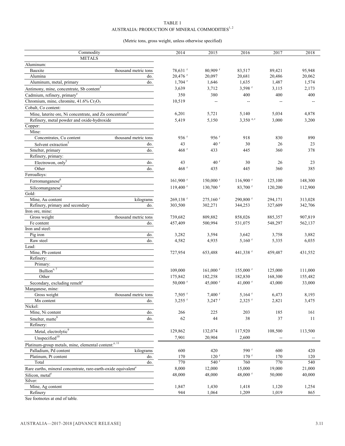#### TABLE 1 AUSTRALIA: PRODUCTION OF MINERAL COMMODITIES $^{1,\,2}$

#### (Metric tons, gross weight, unless otherwise specified)

| Commodity                                                                  |                      | 2014                      | 2015                   | 2016                      | 2017    | 2018    |
|----------------------------------------------------------------------------|----------------------|---------------------------|------------------------|---------------------------|---------|---------|
| <b>METALS</b>                                                              |                      |                           |                        |                           |         |         |
| Aluminum:                                                                  |                      |                           |                        |                           |         |         |
| Bauxite                                                                    | thousand metric tons | 78,631 <sup>r</sup>       | $80,909$ <sup>r</sup>  | 83,517                    | 89,421  | 95,948  |
| Alumina                                                                    | do.                  | 20,476 r                  | 20,097                 | 20,681                    | 20,486  | 20,062  |
| Aluminum, metal, primary                                                   | do.                  | $1,704$ <sup>r</sup>      | 1,646                  | 1,635                     | 1,487   | 1,574   |
| Antimony, mine, concentrate, Sb content <sup>3</sup>                       |                      | 3,639                     | 3,712                  | $3,598$ <sup>r</sup>      | 3,115   | 2,173   |
| Cadmium, refinery, primary <sup>e</sup>                                    |                      | 350                       | 380                    | 400                       | 400     | 400     |
| Chromium, mine, chromite, 41.6% Cr <sub>2</sub> O <sub>3</sub>             |                      | 10,519                    | --                     | --                        | --      |         |
| Cobalt, Co content:                                                        |                      |                           |                        |                           |         |         |
| Mine, laterite ore, Ni concentrate, and Zn concentrate <sup>4</sup>        |                      | 6,201                     | 5,721                  | 5,140                     | 5,034   | 4,878   |
| Refinery, metal powder and oxide-hydroxide                                 |                      | 5,419                     | 5,150                  | $3,350$ e, r              | 3,000   | 3,200   |
| Copper:                                                                    |                      |                           |                        |                           |         |         |
| Mine:                                                                      |                      |                           |                        |                           |         |         |
| Concentrates, Cu content                                                   | thousand metric tons | $936$ <sup>r</sup>        | 956 $r$                | 918                       | 830     | 890     |
| Solvent extraction <sup>5</sup>                                            | do.                  | 43                        | 40 <sup>r</sup>        | 30                        | 26      | 23      |
| Smelter, primary                                                           | do.                  | 468 $r$                   | 433                    | 445                       | 360     | 378     |
| Refinery, primary:                                                         |                      |                           |                        |                           |         |         |
| Electrowon, only <sup>5</sup>                                              | do.                  | 43                        | 40 <sup>r</sup>        | 30                        | 26      | 23      |
| Other                                                                      | do.                  | 468 $r$                   | 435                    | 445                       | 360     | 385     |
| Ferroalloys:                                                               |                      |                           |                        |                           |         |         |
| Ferromanganese <sup>6</sup>                                                |                      | $161,900$ <sup>r</sup>    | $150,000$ <sup>r</sup> | $116,900$ <sup>r</sup>    | 125,100 | 148,300 |
| Silicomanganese <sup>6</sup>                                               |                      | $119,400$ <sup>r</sup>    | 130,700 r              | 83,700 r                  | 120,200 | 112,900 |
| Gold:                                                                      |                      |                           |                        |                           |         |         |
| Mine, Au content                                                           | kilograms            | 269,138 r                 | $275,160$ <sup>r</sup> | $290,800$ <sup>r</sup>    | 294,171 | 313,028 |
| Refinery, primary and secondary                                            | do.                  | 303,500                   | 302,271                | 344,253                   | 327,609 | 342,706 |
| Iron ore, mine:                                                            |                      |                           |                        |                           |         |         |
| Gross weight                                                               | thousand metric tons | 739,682                   | 809,882                | 858,026                   | 885,357 | 907,819 |
| Fe content                                                                 | do.                  | 457,409                   | 500,994                | 531,075                   | 548,297 | 562,137 |
| Iron and steel:                                                            |                      |                           |                        |                           |         |         |
| Pig iron                                                                   | do.                  | 3,282                     | 3,594                  | 3,642                     | 3,758   | 3,882   |
| Raw steel                                                                  | do.                  | 4,582                     | 4,935                  | $5,160$ <sup>r</sup>      | 5,335   | 6,035   |
| Lead:                                                                      |                      |                           |                        |                           |         |         |
| Mine, Pb content                                                           |                      | 727,954                   | 653,488                | $441,338$ <sup>r</sup>    | 459,487 | 431,552 |
| Refinery:                                                                  |                      |                           |                        |                           |         |         |
| Primary:                                                                   |                      |                           |                        |                           |         |         |
| Bullion <sup>e, 7</sup>                                                    |                      | 109,000                   | $161,000$ <sup>r</sup> | $155,000$ <sup>r</sup>    | 125,000 | 111,000 |
| Other                                                                      |                      | 175,842                   | 182,258                | 182,830                   | 168,300 | 155,482 |
| Secondary, excluding remelt <sup>e</sup>                                   |                      | $50,000$ r                | 45,000 $r$             | 41,000 $r$                | 43,000  | 33,000  |
| Manganese, mine:                                                           |                      |                           |                        |                           |         |         |
| Gross weight                                                               | thousand metric tons | 7,505 <sup>r</sup>        | $7,400$ <sup>r</sup>   | $5,164$ <sup>r</sup>      | 6,473   | 8,193   |
| Mn content                                                                 | do.                  | $3{,}255$ $^{\mathrm{r}}$ | $3,247$ $\degree$      | $2{,}325$ $^{\mathrm{r}}$ | 2,821   | 3,475   |
| Nickel:                                                                    |                      |                           |                        |                           |         |         |
| Mine, Ni content                                                           | do.                  | 266                       | 225                    | 203                       | 185     | 161     |
| Smelter, matte <sup>8</sup>                                                | do.                  | 62                        | 44                     | 38                        | 37      | 11      |
| Refinery:                                                                  |                      |                           |                        |                           |         |         |
| Metal, electrolytic <sup>9</sup>                                           |                      | 129,862                   | 132,074                | 117,920                   | 108,500 | 113,500 |
| Unspecified $10$                                                           |                      | 7,901                     | 20,904                 | 2,600                     |         |         |
| Platinum-group metals, mine, elemental content: <sup>e, 11</sup>           |                      |                           |                        |                           |         |         |
| Palladium, Pd content                                                      | kilograms            | 600                       | 420                    | 590 <sup>r</sup>          | 600     | 420     |
| Platinum, Pt content                                                       | do.                  | 170                       | 120 r                  | $170$ <sup>r</sup>        | 170     | 120     |
| Total                                                                      | do.                  | 770                       | 540 r                  | 760                       | 770     | 540     |
| Rare earths, mineral concentrate, rare-earth-oxide equivalent <sup>e</sup> |                      | 8,000                     | 12,000                 | 15,000                    | 19,000  | 21,000  |
|                                                                            |                      | 48,000                    | 48,000                 | 48,000 r                  | 50,000  | 40,000  |
| Silicon, metal <sup>e</sup>                                                |                      |                           |                        |                           |         |         |
| Silver:<br>Mine, Ag content                                                |                      |                           |                        |                           |         |         |
| Refinery                                                                   |                      | 1,847<br>944              | 1,430                  | 1,418                     | 1,120   | 1,254   |
|                                                                            |                      |                           | 1,064                  | 1,209                     | 1,019   | 865     |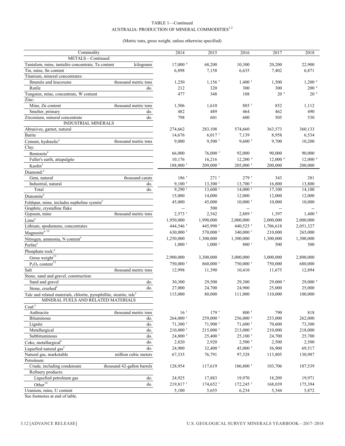#### TABLE 1—Continued AUSTRALIA: PRODUCTION OF MINERAL COMMODITIES $^{1,2}$

#### (Metric tons, gross weight, unless otherwise specified)

| Commodity                                                                       | 2014                   | 2015                   | 2016                          | 2017               | 2018               |
|---------------------------------------------------------------------------------|------------------------|------------------------|-------------------------------|--------------------|--------------------|
| METALS-Continued                                                                |                        |                        |                               |                    |                    |
| Tantalum, mine, tantalite concentrate, Ta content<br>kilograms                  | $17,000$ $\degree$     | 68,200                 | 10,300                        | 20,200             | 22,900             |
| Tin, mine, Sn content                                                           | 6,898                  | 7,158                  | 6,635                         | 7,402              | 6,871              |
| Titanium, mineral concentrates:                                                 |                        |                        |                               |                    |                    |
| thousand metric tons<br>Ilmenite and leucoxene                                  | 1,250                  | $1,156$ <sup>r</sup>   | $1,400$ <sup>r</sup>          | 1,500              | $1,200$ $\degree$  |
| Rutile<br>do.                                                                   | 212                    | 320                    | 300                           | 300                | 200 e              |
| Tungsten, mine, concentrate, W content                                          | 477                    | 348                    | 108                           | 20 <sup>e</sup>    | 20 <sup>e</sup>    |
| Zinc:                                                                           |                        |                        |                               |                    |                    |
| Mine, Zn content<br>thousand metric tons                                        | 1,506                  | 1,610                  | 885 r                         | 852                | 1,112              |
| Smelter, primary<br>do.                                                         | 482                    | 489                    | 464                           | 462                | 490                |
| Zirconium, mineral concentrate<br>do.<br><b>INDUSTRIAL MINERALS</b>             | 798                    | 601                    | 600                           | 505                | 530                |
|                                                                                 |                        |                        |                               |                    |                    |
| Abrasives, garnet, natural                                                      | 274,662                | 283,108                | 574,660                       | 363,573            | 360,133            |
| Barite                                                                          | 14,676                 | $6,017$ <sup>r</sup>   | 7,139<br>$9,600$ <sup>r</sup> | 8,958              | 6,534              |
| thousand metric tons<br>Cement, hydraulic <sup>e</sup>                          | 9,000                  | $9,500$ <sup>r</sup>   |                               | 9,700              | 10,200             |
| Clay:                                                                           |                        |                        |                               |                    |                    |
| Bentonite <sup>e</sup>                                                          | 66,000                 | $76,000$ r             | 92,000                        | 90,000             | 90,000             |
| Fuller's earth, attapulgite                                                     | 10,176                 | 16,216                 | $12,200$ $\degree$            | $12,000$ $\degree$ | $12,000$ $\degree$ |
| Kaolin <sup>e</sup>                                                             | $188,000$ <sup>r</sup> | $209,000$ <sup>r</sup> | $205,000$ <sup>r</sup>        | 200,000            | 200,000            |
| Diamond: <sup>e</sup>                                                           |                        |                        |                               |                    |                    |
| Gem, natural<br>thousand carats                                                 | $186$ <sup>r</sup>     | $271$ <sup>r</sup>     | 279r                          | 343                | 281                |
| Industrial, natural<br>do.                                                      | $9,100$ <sup>r</sup>   | $13,300$ <sup>r</sup>  | $13,700$ <sup>r</sup>         | 16,800             | 13,800             |
| Total<br>do.                                                                    | $9,290$ <sup>r</sup>   | $13,600$ <sup>r</sup>  | $14,000$ <sup>r</sup>         | 17,100             | 14,100             |
| Diatomite <sup>e</sup>                                                          | 15,000                 | 14,000                 | 12,000                        | 12,000             | 12,000             |
| Feldspar, mine, includes nepheline syenite <sup>e</sup>                         | 45,000                 | 45,000                 | $10,000$ <sup>r</sup>         | 10,000             | 10,000             |
| Graphite, crystalline flake                                                     |                        | 500                    | --                            |                    |                    |
| thousand metric tons<br>Gypsum, mine                                            | $2,573$ <sup>r</sup>   | 2,542                  | 2,889 r                       | 1,397              | $1,400$ $\degree$  |
| $\mathrm{Lime}^\mathrm{e}$                                                      | 1,950,000              | 1,990,000              | 2,000,000                     | 2,000,000          | 2,000,000          |
| Lithium, spodumene, concentrates                                                | 444,546 r              | 445,990 <sup>r</sup>   | 440,525 r                     | 1,706,618          | 2,051,327          |
| Magnesite <sup>e, 12</sup>                                                      | 630,000 $^{\rm r}$     | $570,000$ <sup>r</sup> | 340,000 $^{\rm r}$            | 210,000            | 265,000            |
| Nitrogen, ammonia, N content <sup>e</sup>                                       | 1,250,000              | 1,300,000              | 1,300,000                     | 1,300,000          | 1,300,000          |
| Perlite <sup>e</sup>                                                            | $1,000$ <sup>r</sup>   | $1,000$ <sup>r</sup>   | $800$ <sup>r</sup>            | 500                | 500                |
| Phosphate rock: <sup>e</sup>                                                    |                        |                        |                               |                    |                    |
| Gross weight <sup>13</sup>                                                      | 2,900,000              | 3,300,000              | 3,000,000                     | 3,000,000          | 2,800,000          |
| $P_2O_5$ content <sup>13</sup>                                                  | $750,000$ <sup>r</sup> | 860,000 <sup>r</sup>   | 750,000 r                     | 750,000            | 680,000            |
| Salt<br>thousand metric tons                                                    | 12,998                 | 11,390                 | 10,410                        | 11,675             | 12,894             |
| Stone, sand and gravel, construction:                                           |                        |                        |                               |                    |                    |
| Sand and gravel<br>do.                                                          | 30,300                 | 29,500                 | 29,300                        | $29,000$ $\degree$ | $29,000$ e         |
| Stone, crushed <sup>e</sup><br>do.                                              | 27,000                 | 24,700                 | 24,900                        | 25,000             | 25,000             |
| Talc and related materials, chlorite, pyrophillite, steatite, talc <sup>e</sup> | 115,000                | 80,000                 | 111,000                       | 110,000            | 100,000            |
| MINERAL FUELS AND RELATED MATERIALS                                             |                        |                        |                               |                    |                    |
| $Coal:$ <sup>e</sup>                                                            |                        |                        |                               |                    |                    |
| Anthracite<br>thousand metric tons                                              | 16 <sup>r</sup>        | 179r                   | $800$ <sup>r</sup>            | 790                | 818                |
| Bituminous<br>do.                                                               | 264,000 r              | 259,000 r              | $256,000$ r                   | 253,000            | 262,000            |
| Lignite<br>do.                                                                  | $71,300$ <sup>r</sup>  | $71,900$ <sup>r</sup>  | $71,600$ <sup>r</sup>         | 70,600             | 73,300             |
| Metallurgical<br>do.                                                            | $210,000$ <sup>r</sup> | $215,000$ <sup>r</sup> | $213,000$ <sup>r</sup>        | 210,000            | 218,000            |
| Subbituminous<br>do.                                                            | $24,800$ <sup>r</sup>  | $25,400$ <sup>r</sup>  | $25,100$ <sup>r</sup>         | 24,700             | 25,700             |
| do.<br>Coke, metallurgical <sup>e</sup>                                         | 2,820                  | 2,920                  | $2,500$ <sup>r</sup>          | 2,500              | 2,500              |
| do.<br>Liquefied natural gas <sup>e</sup>                                       | 24,900                 | 32,400 r               | 45,000 r                      | 56,900             | 69,517             |
| Natural gas, marketable<br>million cubic meters                                 |                        |                        |                               | 113,805            |                    |
| Petroleum:                                                                      | 67,335                 | 76,791                 | 97,328                        |                    | 130,987            |
| Crude, including condensate<br>thousand 42-gallon barrels                       | 128,954                | 117,619                | $106,800$ <sup>r</sup>        | 103,706            | 107,539            |
| Refinery products:                                                              |                        |                        |                               |                    |                    |
| do.<br>Liquefied petroleum gas                                                  | 24,925                 | 17,883                 | 19,970                        | 18,209             | 19,971             |
| Other <sup>14</sup><br>do.                                                      | $219,817$ <sup>r</sup> | $174,652$ <sup>r</sup> | 172,245 r                     | 168,039            | 175,394            |
| Uranium, mine, U content                                                        |                        | 5,655                  | 6,234                         | 5,344              |                    |
|                                                                                 | 5,100                  |                        |                               |                    | 5,872              |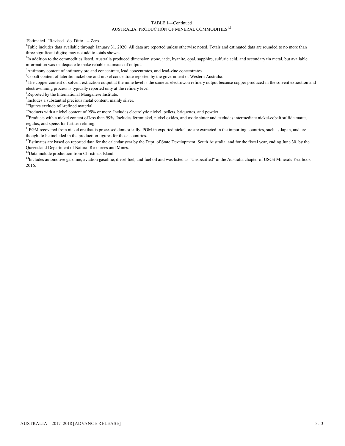TABLE 1—Continued AUSTRALIA: PRODUCTION OF MINERAL COMMODITIES<sup>1,2</sup>

<sup>e</sup>Estimated. <sup>r</sup>Revised. do. Ditto. -- Zero.

<sup>1</sup>Table includes data available through January 31, 2020. All data are reported unless otherwise noted. Totals and estimated data are rounded to no more than three significant digits; may not add to totals shown.

<sup>2</sup>In addition to the commodities listed, Australia produced dimension stone, jade, kyanite, opal, sapphire, sulfuric acid, and secondary tin metal, but available information was inadequate to make reliable estimates of output.

<sup>3</sup>Antimony content of antimony ore and concentrate, lead concentrates, and lead-zinc concentrates.

<sup>4</sup>Cobalt content of lateritic nickel ore and nickel concentrate reported by the government of Western Australia.

<sup>5</sup>The copper content of solvent extraction output at the mine level is the same as electrowon refinery output because copper produced in the solvent extraction and electrowinning process is typically reported only at the refinery level.

<sup>6</sup>Reported by the International Manganese Institute.

 $\sigma$ Includes a substantial precious metal content, mainly silver.

<sup>8</sup>Figures exclude toll-refined material.

<sup>9</sup> Products with a nickel content of 99% or more. Includes electrolytic nickel, pellets, briquettes, and powder.

<sup>10</sup>Products with a nickel content of less than 99%. Includes ferronickel, nickel oxides, and oxide sinter and excludes intermediate nickel-cobalt sulfide matte, regulus, and speiss for further refining.

 $11$ PGM recovered from nickel ore that is processed domestically. PGM in exported nickel ore are extracted in the importing countries, such as Japan, and are thought to be included in the production figures for those countries.

 $12$ Estimates are based on reported data for the calendar year by the Dept. of State Development, South Australia, and for the fiscal year, ending June 30, by the Queensland Department of Natural Resources and Mines.

<sup>13</sup>Data include production from Christmas Island.

<sup>14</sup>Includes automotive gasoline, aviation gasoline, diesel fuel, and fuel oil and was listed as "Unspecified" in the Australia chapter of USGS Minerals Yearbook 2016.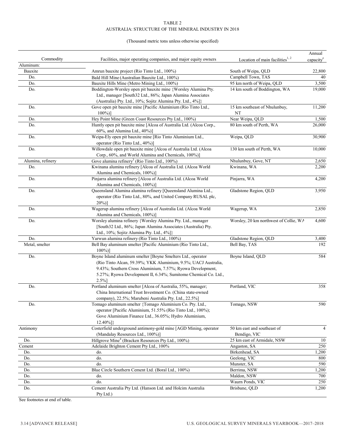#### (Thousand metric tons unless otherwise specified)

|                   |                                                                                                                                                                                                                                                                             |                                             | Annual                |
|-------------------|-----------------------------------------------------------------------------------------------------------------------------------------------------------------------------------------------------------------------------------------------------------------------------|---------------------------------------------|-----------------------|
| Commodity         | Facilities, major operating companies, and major equity owners                                                                                                                                                                                                              | Location of main facilities $1, 2$          | capacity <sup>e</sup> |
| Aluminum:         |                                                                                                                                                                                                                                                                             |                                             |                       |
| Bauxite           | Amrun bauxite project (Rio Tinto Ltd., 100%)                                                                                                                                                                                                                                | South of Weipa, QLD                         | 22,800                |
| Do.               | Bald Hill Mine (Australian Bauxite Ltd., 100%)                                                                                                                                                                                                                              | Campbell Town, TAS                          | 40                    |
| Do.               | Bauxite Hills Mine (Metro Mining Ltd., 100%)                                                                                                                                                                                                                                | 95 km north of Weipa, QLD                   | 3,500                 |
| Do.               | Boddington-Worsley open pit bauxite mine {Worsley Alumina Pty.<br>Ltd., manager [South32 Ltd., 86%; Japan Alumina Associates                                                                                                                                                | 14 km south of Boddington, WA               | 19,000                |
|                   | (Australia) Pty. Ltd., 10%; Sojitz Alumina Pty. Ltd., 4%]}                                                                                                                                                                                                                  |                                             |                       |
| Do.               | Gove open pit bauxite mine [Pacific Aluminium (Rio Tinto Ltd.,<br>$100\%)$ ]                                                                                                                                                                                                | 15 km southeast of Nhulunbuy,<br>NT         | 11,200                |
| Do.               | Hey Point Mine (Green Coast Resources Pty Ltd., 100%)                                                                                                                                                                                                                       | Near Weipa, QLD                             | 1,500                 |
| Do.               | Huntly open pit bauxite mine [Alcoa of Australia Ltd. (Alcoa Corp.,<br>60%, and Alumina Ltd., 40%)]                                                                                                                                                                         | 80 km south of Perth, WA                    | 26,000                |
| Do.               | Weipa-Ely open pit bauxite mine [Rio Tinto Aluminium Ltd.,<br>operator (Rio Tinto Ltd., 40%)]                                                                                                                                                                               | Weipa, QLD                                  | 30,900                |
| Do.               | Willowdale open pit bauxite mine [Alcoa of Australia Ltd. (Alcoa<br>Corp., 60%, and World Alumina and Chemicals, 100%)]                                                                                                                                                     | 130 km south of Perth, WA                   | 10,000                |
| Alumina, refinery | Gove alumina refinery <sup>3</sup> (Rio Tinto Ltd., 100%)                                                                                                                                                                                                                   | Nhulunbuy, Gove, NT                         | 2,650                 |
| Do.               | Kwinana alumina refinery [Alcoa of Australia Ltd. (Alcoa World<br>Alumina and Chemicals, 100%)]                                                                                                                                                                             | Kwinana, WA                                 | 2,200                 |
| Do.               | Pinjarra alumina refinery [Alcoa of Australia Ltd. (Alcoa World<br>Alumina and Chemicals, 100%)]                                                                                                                                                                            | Pinjarra, WA                                | 4,200                 |
| Do.               | Queensland Alumina alumina refinery [Queensland Alumina Ltd.,<br>operator (Rio Tinto Ltd., 80%, and United Company RUSAL plc,<br>$20\%)$ ]                                                                                                                                  | Gladstone Region, QLD                       | 3,950                 |
| Do.               | Wagerup alumina refinery [Alcoa of Australia Ltd. (Alcoa World<br>Alumina and Chemicals, 100%)]                                                                                                                                                                             | Wagerup, WA                                 | 2,850                 |
| Do.               | Worsley alumina refinery {Worsley Alumina Pty. Ltd., manager<br>[South32 Ltd., 86%; Japan Alumina Associates (Australia) Pty.<br>Ltd., 10%; Sojitz Alumina Pty. Ltd., 4%]}                                                                                                  | Worsley, 20 km northwest of Collie, WA      | 4,600                 |
| Do.               | Yarwun alumina refinery (Rio Tinto Ltd., 100%)                                                                                                                                                                                                                              | Gladstone Region, QLD                       | 3,400                 |
| Metal, smelter    | Bell Bay aluminum smelter [Pacific Aluminium (Rio Tinto Ltd.,<br>$100\%)$                                                                                                                                                                                                   | Bell Bay, TAS                               | 192                   |
| Do.               | Boyne Island aluminum smelter [Boyne Smelters Ltd., operator<br>(Rio Tinto Alcan, 59.39%; YKK Aluminium, 9.5%; UACJ Australia,<br>9.43%; Southern Cross Aluminium, 7.57%; Ryowa Development,<br>5.27%; Ryowa Development II, 6.34%; Sumitomo Chemical Co. Ltd.,<br>$2.5%$ ] | Boyne Island, QLD                           | 584                   |
| Do.               | Portland aluminum smelter [Alcoa of Australia, 55%, manager;<br>China International Trust Investment Co. (China state-owned<br>company), 22.5%; Marubeni Australia Pty. Ltd., 22.5%]                                                                                        | Portland, VIC                               | 358                   |
| Do.               | Tomago aluminum smelter {Tomago Aluminium Co. Pty. Ltd.,<br>operator [Pacific Aluminium, 51.55% (Rio Tinto Ltd., 100%);<br>Gove Aluminium Finance Ltd., 36.05%; Hydro Aluminium,<br>$12.40\%$ ]}                                                                            | Tomago, NSW                                 | 590                   |
| Antimony          | Costerfield underground antimony-gold mine [AGD Mining, operator<br>(Mandalay Resources Ltd., 100%)]                                                                                                                                                                        | 50 km east and southeast of<br>Bendigo, VIC | $\overline{4}$        |
| Do.               | Hillgrove Mine <sup>4</sup> (Bracken Resources Pty Ltd., 100%)                                                                                                                                                                                                              | 25 km east of Armidale, NSW                 | 10                    |
| Cement            | Adelaide Brighton Cement Pty Ltd., 100%                                                                                                                                                                                                                                     | Angaston, SA                                | 250                   |
| Do.               | do.                                                                                                                                                                                                                                                                         | Birkenhead, SA                              | 1,200                 |
| Do.               | do.                                                                                                                                                                                                                                                                         | Geelong, VIC                                | 800                   |
| Do.               | do.                                                                                                                                                                                                                                                                         | Munster, SA                                 | 590                   |
| Do.               | Blue Circle Southern Cement Ltd. (Boral Ltd., 100%)                                                                                                                                                                                                                         | Berrima, NSW                                | 1,200                 |
| Do.               | do.                                                                                                                                                                                                                                                                         | Maldon, NSW                                 | 700                   |
| Do.               | do.                                                                                                                                                                                                                                                                         | Waurn Ponds, VIC                            | 250                   |
| Do.               | Cement Australia Pty Ltd. (Hanson Ltd. and Holcim Australia<br>Pty Ltd.)                                                                                                                                                                                                    | Brisbane, QLD                               | 1,200                 |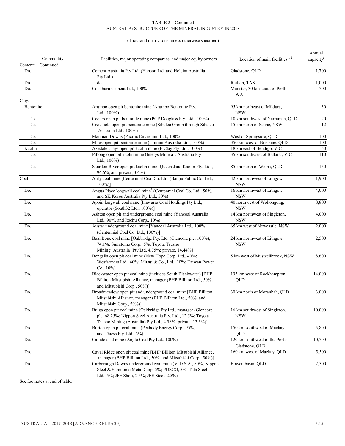#### (Thousand metric tons unless otherwise specified)

| Commodity              |                                                                                                                                                                                                |                                                   | Annual                |
|------------------------|------------------------------------------------------------------------------------------------------------------------------------------------------------------------------------------------|---------------------------------------------------|-----------------------|
| -Continued<br>Cement:- | Facilities, major operating companies, and major equity owners                                                                                                                                 | Location of main facilities <sup>1, 2</sup>       | capacity <sup>e</sup> |
| Do.                    | Cement Australia Pty Ltd. (Hanson Ltd. and Holcim Australia<br>Pty Ltd.)                                                                                                                       | Gladstone, QLD                                    | 1,700                 |
| Do.                    | do.                                                                                                                                                                                            | Railton, TAS                                      | 1,000                 |
| Do.                    | Cockburn Cement Ltd., 100%                                                                                                                                                                     | Munster, 30 km south of Perth,<br>WA              | 700                   |
| Clay:                  |                                                                                                                                                                                                |                                                   |                       |
| Bentonite              | Arumpo open pit bentonite mine (Arumpo Bentonite Pty.<br>Ltd., $100\%$ )                                                                                                                       | 95 km northeast of Mildura,<br><b>NSW</b>         | 30                    |
| Do.                    | Cedars open pit bentonite mine (PCP Douglass Pty. Ltd., 100%)                                                                                                                                  | 10 km southwest of Yarraman, QLD                  | 20                    |
| Do.                    | Cressfield open pit bentonite mine (Sibelco Group through Sibelco<br>Australia Ltd., 100%)                                                                                                     | 15 km north of Scone, NSW                         | 12                    |
| Do.                    | Mantuan Downs (Pacific Enviromin Ltd., 100%)                                                                                                                                                   | West of Springsure, QLD                           | 100                   |
| Do.                    | Miles open pit bentonite mine (Unimin Australia Ltd., 100%)                                                                                                                                    | 350 km west of Brisbane, QLD                      | 100                   |
| Kaolin                 | Axedale Clays open pit kaolin mine (E Clay Pty Ltd., 100%)                                                                                                                                     | 18 km east of Bendigo, VIC                        | 50                    |
| Do.                    | Pittong open pit kaolin mine (Imerys Minerals Australia Pty<br>Ltd., $100\%$ )                                                                                                                 | 35 km southwest of Ballarat, VIC                  | 110                   |
| Do.                    | Skardon River open pit kaolin mine (Queensland Kaolin Pty. Ltd.,<br>96.6%, and private, 3.4%)                                                                                                  | 85 km north of Weipa, QLD                         | 150                   |
| Coal                   | Airly coal mine [Centennial Coal Co. Ltd. (Banpu Public Co. Ltd.,<br>$100\%)$                                                                                                                  | 42 km northwest of Lithgow,<br><b>NSW</b>         | 1,900                 |
| Do.                    | Angus Place longwall coal mine <sup>4</sup> (Centennial Coal Co. Ltd., 50%,<br>and SK Kores Australia Pty Ltd., 50%)                                                                           | 16 km northwest of Lithgow,<br><b>NSW</b>         | 4,000                 |
| Do.                    | Appin longwall coal mine [Illawarra Coal Holdings Pty Ltd.,<br>operator (South32 Ltd., 100%)]                                                                                                  | 40 northwest of Wollongong,<br><b>NSW</b>         | 8,800                 |
| Do.                    | Ashton open pit and underground coal mine (Yancoal Australia<br>Ltd., 90%, and Itochu Corp., 10%)                                                                                              | 14 km northwest of Singleton,<br><b>NSW</b>       | 4,000                 |
| Do.                    | Austar underground coal mine [Yancoal Australia Ltd., 100%<br>(Centennial Coal Co. Ltd., 100%)]                                                                                                | 65 km west of Newcastle, NSW                      | 2,000                 |
| Do.                    | Baal Bone coal mine [Oakbridge Pty. Ltd. (Glencore plc, 100%),<br>74.1%; Sumitomo Corp., 5%; Toyota Tsusho<br>Mining (Australia) Pty Ltd. 4.75%; private, 14.44%]                              | 24 km northwest of Lithgow,<br><b>NSW</b>         | 2,500                 |
| Do.                    | Bengalla open pit coal mine (New Hope Corp. Ltd., 40%;<br>Wesfarmers Ltd., 40%; Mitsui & Co., Ltd., 10%; Taiwan Power<br>Co., $10\%$ )                                                         | 5 km west of Muswellbrook, NSW                    | 8,600                 |
| Do.                    | Blackwater open pit coal mine (includes South Blackwater) [BHP<br>Billiton Mitsubishi Alliance, manager (BHP Billiton Ltd., 50%,<br>and Mitsubishi Corp., 50%)]                                | 195 km west of Rockhampton,<br>QLD                | 14,000                |
| Do.                    | Broadmeadow open pit and underground coal mine [BHP Billiton<br>Mitsubishi Alliance, manager (BHP Billiton Ltd., 50%, and<br>Mitsubishi Corp., 50%)]                                           | 30 km north of Moranbah, QLD                      | 3,000                 |
| Do.                    | Bulga open pit coal mine [Oakbridge Pty Ltd., manager (Glencore<br>plc, 68.25%; Nippon Steel Australia Pty. Ltd., 12.5%; Toyota<br>Tsusho Mining (Australia) Pty Ltd., 4.38%; private, 13.3%)] | 16 km southwest of Singleton,<br><b>NSW</b>       | 10,000                |
| Do.                    | Burton open pit coal mine (Peabody Energy Corp., 95%,<br>and Thiess Pty. Ltd., 5%)                                                                                                             | 150 km southwest of Mackay,<br>QLD                | 5,800                 |
| Do.                    | Callide coal mine (Anglo Coal Pty Ltd., 100%)                                                                                                                                                  | 120 km southwest of the Port of<br>Gladstone, QLD | 10,700                |
| Do.                    | Caval Ridge open pit coal mine [BHP Billiton Mitsubishi Alliance,<br>manager (BHP Billiton Ltd., 50%, and Mitsubishi Corp., 50%)]                                                              | 160 km west of Mackay, QLD                        | 5,500                 |
| Do.                    | Carborough Downs underground coal mine (Vale S.A., 80%; Nippon<br>Steel & Sumitomo Metal Corp. 5%; POSCO, 5%; Tata Steel<br>Ltd., 5%; JFE Shoji, 2.5%; JFE Steel, 2.5%)                        | Bowen basin, QLD                                  | 2,500                 |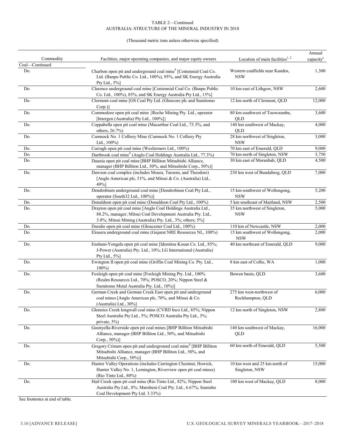#### (Thousand metric tons unless otherwise specified)

|                |                                                                                                                                                                                               |                                                 | Annual                |
|----------------|-----------------------------------------------------------------------------------------------------------------------------------------------------------------------------------------------|-------------------------------------------------|-----------------------|
| Commodity      | Facilities, major operating companies, and major equity owners                                                                                                                                | Location of main facilities $1, 2$              | capacity <sup>e</sup> |
| Coal-Continued |                                                                                                                                                                                               |                                                 |                       |
| Do.            | Charbon open pit and underground coal mine <sup>4</sup> [Centennial Coal Co.<br>Ltd. (Banpu Public Co. Ltd., 100%), 95%, and SK Energy Australia<br>Pty Ltd., 5%]                             | Western coalfields near Kandos,<br><b>NSW</b>   | 1,300                 |
| Do.            | Clarence underground coal mine [Centennial Coal Co. (Banpu Public<br>Co. Ltd., 100%), 85%, and SK Energy Australia Pty Ltd., 15%]                                                             | 10 km east of Lithgow, NSW                      | 2,600                 |
| Do.            | Clermont coal mine [GS Coal Pty Ltd. (Glencore plc and Sumitomo<br>$Corp.$ ]                                                                                                                  | 12 km north of Clermont, QLD                    | 12,000                |
| Do.            | Commodore open pit coal mine {Roche Mining Pty. Ltd., operator<br>[Intergen (Australia) Pty Ltd., 100%]}                                                                                      | 80 km southwest of Toowoomba,<br>QLD            | 3,600                 |
| Do.            | Coppabella open pit coal mine (Macarthur Coal Ltd., 73.3%, and<br>others, 26.7%)                                                                                                              | 140 km southwest of Mackay,<br>QLD              | 4,000                 |
| Do.            | Cumnock No. 1 Colliery Mine (Cumnock No. 1 Colliery Pty<br>Ltd., $100\%$ )                                                                                                                    | 28 km northwest of Singleton,<br><b>NSW</b>     | 3,000                 |
| Do.            | Curragh open pit coal mine (Wesfarmers Ltd., 100%)                                                                                                                                            | 70 km east of Emerald, QLD                      | 9,000                 |
| Do.            | Dartbrook coal mine <sup>4</sup> (Anglo Coal Holdings Australia Ltd., 77.3%)                                                                                                                  | 70 km north of Singleton, NSW                   | 3,750                 |
| Do.            | Daunia open pit coal mine [BHP Billiton Mitsubishi Alliance,<br>manager (BHP Billiton Ltd., 50%, and Mitsubishi Corp., 50%)]                                                                  | 30 km east of Moranbah, OLD                     | 4,500                 |
| Do.            | Dawson coal complex (includes Moura, Taroom, and Theodore)<br>[Anglo American plc, 51%, and Mitsui & Co. (Australia) Ltd.,<br>49%]                                                            | 230 km west of Bundaberg, QLD                   | 7,000                 |
| Do.            | Dendrobium underground coal mine [Dendrobium Coal Pty Ltd.,<br>operator (South32 Ltd., 100%)]                                                                                                 | 15 km southwest of Wollongong,<br><b>NSW</b>    | 5,200                 |
| Do.            | Donaldson open pit coal mine (Donaldson Coal Pty Ltd., 100%)                                                                                                                                  | 5 km southeast of Maitland, NSW                 | 2,500                 |
| Do.            | Drayton open pit coal mine [Anglo Coal Holdings Australia Ltd.,<br>88.2%, manager; Mitsui Coal Development Australia Pty. Ltd.,<br>3.8%; Mitsui Mining (Australia) Pty. Ltd., 3%; others, 5%] | 35 km northwest of Singleton,<br><b>NSW</b>     | 5,000                 |
| Do.            | Duralie open pit coal mine (Gloucester Coal Ltd., 100%)                                                                                                                                       | 110 km of Newcastle, NSW                        | 2,000                 |
| Do.            | Elouera underground coal mine (Gujarat NRE Resources NL, 100%)                                                                                                                                | 15 km southwest of Wollongong,<br><b>NSW</b>    | 2,000                 |
| Do.            | Ensham-Yongala open pit coal mine [Idemitsu Kosan Co. Ltd., 85%;<br>J-Power (Australia) Pty. Ltd., 10%; LG International (Australia)<br>Pty Ltd., 5%]                                         | 40 km northeast of Emerald, QLD                 | 9,000                 |
| Do.            | Ewington II open pit coal mine (Griffin Coal Mining Co. Pty. Ltd.,<br>$100\%$                                                                                                                 | 8 km east of Collie, WA                         | 1,000                 |
| Do.            | Foxleigh open pit coal mine [Foxleigh Mining Pty. Ltd., 100%<br>(Realm Resources Ltd., 70%; POSCO, 20%; Nippon Steel &<br>Sumitomo Metal Australia Pty. Ltd., 10%)]                           | Bowen basin, QLD                                | 3,600                 |
| Do.            | German Creek and German Creek East open pit and underground<br>coal mines [Anglo American plc, 70%, and Mitsui & Co.<br>(Australia) Ltd., 30%]                                                | 275 km west-northwest of<br>Rockhampton, QLD    | 6,000                 |
| Do.            | Glennies Creek longwall coal mine (CVRD Inco Ltd., 85%; Nippon<br>Steel Australia Pty Ltd., 5%; POSCO Australia Pty Ltd., 5%;<br>private, 5%)                                                 | 12 km north of Singleton, NSW                   | 2,800                 |
| Do.            | Goonyella-Riverside open pit coal mines [BHP Billiton Mitsubishi<br>Alliance, manager (BHP Billiton Ltd., 50%, and Mitsubishi<br>Corp., 50%)]                                                 | 140 km southwest of Mackay,<br>QLD              | 16,000                |
| Do.            | Gregory Crinum open pit and underground coal mine <sup>4</sup> [BHP Billiton<br>Mitsubishi Alliance, manager (BHP Billiton Ltd., 50%, and<br>Mitsubishi Corp., 50%)]                          | 60 km north of Emerald, QLD                     | 5,500                 |
| Do.            | Hunter Valley Operations (includes Carrington Chestnut, Howick,<br>Hunter Valley No. 1, Lemington, Riverview open pit coal mines)<br>(Rio Tinto Ltd., 80%)                                    | 10 km west and 25 km north of<br>Singleton, NSW | 15,000                |
| Do.            | Hail Creek open pit coal mine (Rio Tinto Ltd., 82%; Nippon Steel<br>Australia Pty Ltd., 8%; Marubeni Coal Pty. Ltd., 6.67%; Sumisho<br>Coal Development Pty Ltd. 3.33%)                       | 100 km west of Mackay, QLD                      | 8,000                 |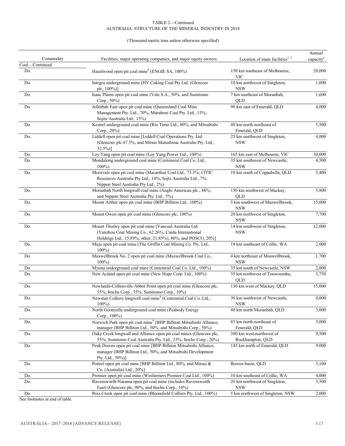#### (Thousand metric tons unless otherwise specified)

|                       |                                                                                                                                                                                 |                                               | Annual                |
|-----------------------|---------------------------------------------------------------------------------------------------------------------------------------------------------------------------------|-----------------------------------------------|-----------------------|
| Commodity             | Facilities, major operating companies, and major equity owners                                                                                                                  | Location of main facilities $1, 2$            | capacity <sup>e</sup> |
| Coal-Continued<br>Do. | Hazelwood open pit coal mine <sup>6</sup> (ENGIE SA, 100%)                                                                                                                      | 150 km southeast of Melbourne,<br>VIC         | 20,000                |
| Do.                   | Integra underground mine [HV Coking Coal Pty Ltd. (Glencore<br>plc, 100%)]                                                                                                      | 10 km northwest of Singleton,<br><b>NSW</b>   | 1,000                 |
| Do.                   | Isaac Plains open pit coal mine (Vale S.A., 50%, and Sumitomo<br>Corp., 50%)                                                                                                    | 7 km southeast of Moranbah,<br><b>OLD</b>     | 1,600                 |
| Do.                   | Jellinbah East open pit coal mine (Queensland Coal Mine<br>Management Pty. Ltd., 70%; Marubeni Coal Pty. Ltd., 15%;<br>Sojitz Australia Ltd., 15%)                              | 90 km east of Emerald, QLD                    | 4,000                 |
| Do.                   | Kestrel underground coal mine (Rio Tinto Ltd., 80%, and Mitsubishi<br>Corp., 20%)                                                                                               | 40 km north-northeast of<br>Emerald, QLD      | 5,500                 |
| Do.                   | Liddell open pit coal mine [Liddell Coal Operations Pty. Ltd.<br>(Glencore plc 67.5%, and Mitsui Matushima Australia Pty. Ltd.,<br>$32.5\%$ ]                                   | 25 km northwest of Singleton,<br><b>NSW</b>   | 4,000                 |
| Do.                   | Loy Yang open pit coal mine (Loy Yang Power Ltd., 100%)                                                                                                                         | 165 km east of Melbourne, VIC                 | 30,000                |
| Do.                   | Mondalong underground coal mine (Centennial Coal Co. Ltd.,<br>$100\%$                                                                                                           | 35 km southwest of Newcastle,<br><b>NSW</b>   | 4,500                 |
| Do.                   | Moorvale open pit coal mine (Macarthur Coal Ltd., 73.3%; CITIC<br>Resources Australia Pty Ltd., 14%; Sojtz Australia Ltd., 7%;<br>Nippon Steel Australia Pty Ltd., 2%)          | 10 km south of Coppabella, QLD                | 3,400                 |
| Do.                   | Moranbah North longwall coal mine (Anglo American plc., 88%,<br>and Nippon Steel Australia Pty. Ltd., 5%)                                                                       | 150 km southwest of Mackay,<br>OLD            | 5,800                 |
| Do.                   | Mount Arthur open pit coal mine (BHP Billiton Ltd., 100%)                                                                                                                       | 5 km southwest of Muswellbrook,<br><b>NSW</b> | 15,000                |
| Do.                   | Mount Owen open pit coal mine (Glencore plc, 100%)                                                                                                                              | 20 km northwest of Singleton,<br><b>NSW</b>   | 7,700                 |
| Do.                   | Mount Thorley open pit coal mine [Yancoal Australia Ltd<br>(Yanzhou Coal Mining Co., 62.26%; Cinda International<br>Holdings Ltd., 15.89%; other, 21.85%), 80%, and POSCO, 20%] | 14 km southwest of Singleton,<br><b>NSW</b>   | 12,000                |
| Do.                   | Muja open pit coal mine (The Griffin Coal Mining Co. Pty. Ltd.,<br>$100\%$                                                                                                      | 18 km southeast of Collie, WA                 | 2,000                 |
| Do.                   | Muswellbrook No. 2 open pit coal mine (Muswellbrook Coal Co.,<br>$100\%$                                                                                                        | 4 km northeast of Muswellbrook,<br><b>NSW</b> | 1,700                 |
| Do.                   | Myuna underground coal mine (Centennial Coal Co. Ltd., 100%)                                                                                                                    | 35 km south of Newcastle, NSW                 | 2,000                 |
| Do.                   | New Acland open pit coal mine (New Hope Corp. Ltd., 100%)                                                                                                                       | 35 km northwest of Toowoomba,<br>QLD          | 3,750                 |
| Do.                   | Newlands-Collinsville-Abbot Point open pit coal mine (Glencore plc,<br>55%; Itochu Corp., 35%; Sumitomo Corp., 10%)                                                             | 130 km west of Mackay, QLD                    | 15,000                |
| Do.                   | Newstan Colliery longwall coal mine <sup>4</sup> (Centennial Coal Co. Ltd.,<br>$100\%$                                                                                          | 30 km southwest of Newcastle,<br><b>NSW</b>   | 4,000                 |
| Do.                   | North Goonyella underground coal mine (Peabody Energy<br>Corp., 100%)                                                                                                           | 40 km north Moranbah, QLD                     | 3,000                 |
| Do.                   | Norwich Park open pit coal mine <sup>4</sup> [BHP Billiton Mitsubishi Alliance,<br>manager (BHP Billiton Ltd., 50%, and Mitsubishi Corp., 50%)                                  | 85 km north-northeast of<br>Emerald, QLD      | 5,000                 |
| Do.                   | Oaky Creek longwall and Alliance open pit coal mines (Glencore plc,<br>55%; Sumitomo Coal Australia Pty. Ltd., 25%; Itocho Corp., 20%)                                          | 300 km west-northwest of<br>Rockhampton, QLD  | 9,500                 |
| Do.                   | Peak Downs open pit coal mine [BHP Billiton Mitsubishi Alliance,<br>manager (BHP Billiton Ltd., 50%, and Mitsubishi Development<br>Pty. Ltd., 50%)]                             | 145 km north of Emerald, QLD                  | 9,000                 |
| Do.                   | Poitrel open pit coal mine [BHP Billiton Ltd., 80%, and Mitsui &<br>Co. (Australia) Ltd., 20%]                                                                                  | Bowen basin, QLD                              | 3,100                 |
| Do.                   | Premier open pit coal mine (Wesfarmers Premier Coal Ltd., 100%)                                                                                                                 | 10 km southeast of Collie, WA                 | 4,000                 |
| Do.                   | Ravensworth-Narama open pit coal mine (includes Ravensworth<br>East) (Glencore plc, 90%, and Itochu Corp., 10%)                                                                 | 20 km northwest of Singleton,<br><b>NSW</b>   | 3,500                 |
| Do.                   | Rixs Creek open pit coal mine (Bloomfield Colliers Pty. Ltd., 100%)                                                                                                             | 5 km northwest of Singleton, NSW              | 2,000                 |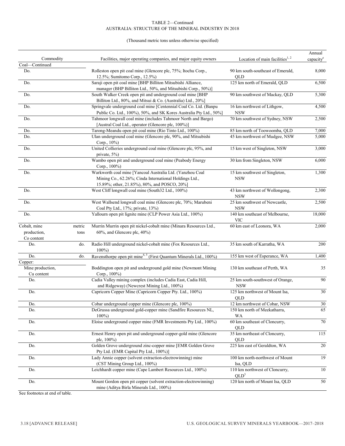#### AUSTRALIA: STRUCTURE OF THE MINERAL INDUSTRY IN 2018 TABLE 2—Continued

#### (Thousand metric tons unless otherwise specified)

|                                |        |                                                                                                                                                                     |                                                    | Annual                |
|--------------------------------|--------|---------------------------------------------------------------------------------------------------------------------------------------------------------------------|----------------------------------------------------|-----------------------|
| Commodity                      |        | Facilities, major operating companies, and major equity owners                                                                                                      | Location of main facilities <sup>1, 2</sup>        | capacity <sup>e</sup> |
| Coal-Continued                 |        |                                                                                                                                                                     |                                                    |                       |
| Do.                            |        | Rolleston open pit coal mine (Glencore plc, 75%; Itochu Corp.,<br>12.5%; Sumitomo Corp., 12.5%)                                                                     | 90 km south-southeast of Emerald,<br>QLD           | 8,000                 |
| Do.                            |        | Saraji open pit coal mine [BHP Billiton Mitsubishi Alliance,<br>manager (BHP Billiton Ltd., 50%, and Mitsubishi Corp., 50%)]                                        | 125 km north of Emerald, QLD                       | 6,500                 |
| Do.                            |        | South Walker Creek open pit and underground coal mine [BHP<br>Billiton Ltd., 80%, and Mitsui & Co. (Australia) Ltd., 20%]                                           | 90 km southwest of Mackay, QLD                     | 5,300                 |
| Do.                            |        | Springvale underground coal mine [Centennial Coal Co. Ltd. (Banpu<br>Public Co. Ltd., 100%), 50%, and SK Kores Australia Pty Ltd., 50%]                             | 16 km northwest of Lithgow,<br><b>NSW</b>          | 4,500                 |
| Do.                            |        | Tahmoor longwall coal mine (includes Tahmoor North and Bargo)<br>[Austral Coal Ltd., operator (Glencore plc, 100%)]                                                 | 70 km southwest of Sydney, NSW                     | 2,500                 |
| Do.                            |        | Tarong-Meandu open pit coal mine (Rio Tinto Ltd., 100%)                                                                                                             | 85 km north of Toowoomba, QLD                      | 7,000                 |
| Do.                            |        | Ulan underground coal mine (Glencore plc, 90%, and Mitsubishi<br>Corp., 10%)                                                                                        | 45 km northwest of Mudgee, NSW                     | 5,000                 |
| Do.                            |        | United Collieries underground coal mine (Glencore plc, 95%, and<br>private, 5%)                                                                                     | 15 km west of Singleton, NSW                       | 3,000                 |
| Do.                            |        | Wambo open pit and underground coal mine (Peabody Energy<br>Corp., 100%)                                                                                            | 30 km from Singleton, NSW                          | 6,000                 |
| Do.                            |        | Warkworth coal mine [Yancoal Australia Ltd. (Yanzhou Coal<br>Mining Co., 62.26%; Cinda International Holdings Ltd.,<br>15.89%; other, 21.85%), 80%, and POSCO, 20%] | 15 km southwest of Singleton,<br><b>NSW</b>        | 1,300                 |
| Do.                            |        | West Cliff longwall coal mine (South32 Ltd., 100%)                                                                                                                  | 43 km northwest of Wollongong,<br><b>NSW</b>       | 2,300                 |
| Do.                            |        | West Wallsend longwall coal mine (Glencore plc, 70%; Marubeni<br>Coal Pty Ltd., 17%; private, 13%)                                                                  | 25 km southwest of Newcastle,<br><b>NSW</b>        | 2,500                 |
| Do.                            |        | Yallourn open pit lignite mine (CLP Power Asia Ltd., 100%)                                                                                                          | 140 km southeast of Melbourne,<br><b>VIC</b>       | 18,000                |
| Cobalt, mine                   | metric | Murrin Murrin open pit nickel-cobalt mine (Minara Resources Ltd.,                                                                                                   | $\overline{60}$ km east of Leonora, WA             | 2,000                 |
| production,                    | tons   | 60%, and Glencore plc, 40%)                                                                                                                                         |                                                    |                       |
| Co content                     |        |                                                                                                                                                                     |                                                    |                       |
| Do.                            | do.    | Radio Hill underground nickel-cobalt mine (Fox Resources Ltd.,<br>$100\%$                                                                                           | 35 km south of Karratha, WA                        | 200                   |
| Do.                            | do.    | Ravensthorpe open pit mine <sup>4, 5</sup> (First Quantum Minerals Ltd., 100%)                                                                                      | 155 km west of Esperance, WA                       | 1,400                 |
| Copper:                        |        |                                                                                                                                                                     |                                                    |                       |
| Mine production,<br>Cu content |        | Boddington open pit and underground gold mine (Newmont Mining<br>Corp., 100%)                                                                                       | 130 km southeast of Perth, WA                      | 35                    |
| Do.                            |        | Cadia Valley mining complex (includes Cadia East, Cadia Hill,<br>and Ridgeway) (Newcrest Mining Ltd., 100%)                                                         | 25 km south-southwest of Orange,<br><b>NSW</b>     | 90                    |
| Do.                            |        | Capricorn Copper Mine (Capricorn Copper Pty. Ltd., 100%)                                                                                                            | 125 km northwest of Mount Isa,<br>QLD              | 30                    |
| Do.                            |        | Cobar underground copper mine (Glencore plc, 100%)                                                                                                                  | 12 km northwest of Cobar, NSW                      | 30                    |
| Do.                            |        | DeGrussa underground gold-copper mine (Sandfire Resources NL,<br>$100\%$                                                                                            | 150 km north of Meekatharra,<br>WA                 | 65                    |
| Do.                            |        | Eloise underground copper mine (FMR Investments Pty Ltd., 100%)                                                                                                     | 60 km southeast of Cloncurry,<br>QLD               | 70                    |
| Do.                            |        | Ernest Henry open pit and underground copper-gold mine (Glencore<br>plc, 100%)                                                                                      | 35 km northeast of Cloncurry,<br>QLD               | 115                   |
| Do.                            |        | Golden Grove underground zinc-copper mine [EMR Golden Grove<br>Pty Ltd. (EMR Capital Pty Ltd., 100%)]                                                               | 225 km east of Geraldton, WA                       | 20                    |
| Do.                            |        | Lady Annie copper (solvent extraction-electrowinning) mine<br>(CST Mining Group Ltd., 100%)                                                                         | 100 km north-northwest of Mount<br>Isa, QLD        | 19                    |
| Do.                            |        | Leichhardt copper mine (Cape Lambert Resources Ltd., 100%)                                                                                                          | 110 km northwest of Cloncurry,<br>QLD <sup>3</sup> | 10                    |
| Do.                            |        | Mount Gordon open pit copper (solvent extraction-electrowinning)<br>mine (Aditya Birla Minerals Ltd., 100%)                                                         | 120 km north of Mount Isa, QLD                     | 50                    |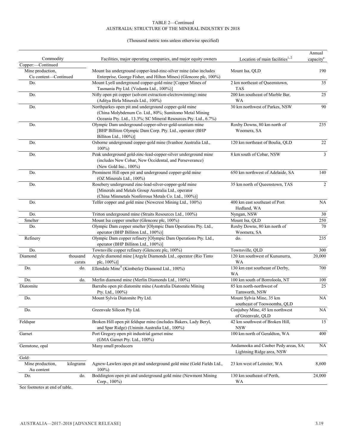#### (Thousand metric tons unless otherwise specified)

| Commodity<br>Copper:-Continued           |                    | Facilities, major operating companies, and major equity owners                                                                                                                     | Location of main facilities $1, 2$                                | Annual<br>capacity <sup>e</sup> |
|------------------------------------------|--------------------|------------------------------------------------------------------------------------------------------------------------------------------------------------------------------------|-------------------------------------------------------------------|---------------------------------|
| Mine production,<br>Cu content-Continued |                    | Mount Isa underground copper-lead-zinc-silver mine (also includes<br>Enterprise, George Fisher, and Hilton Mines) (Glencore plc, 100%)                                             | Mount Isa, QLD                                                    | 190                             |
| Do.                                      |                    | Mount Lyell underground copper-gold mine [Copper Mines of<br>Tasmania Pty Ltd. (Vedanta Ltd., 100%)]                                                                               | 2 km northeast of Queenstown,<br><b>TAS</b>                       | 35                              |
| Do.                                      |                    | Nifty open pit copper (solvent extraction-electrowinning) mine<br>(Aditya Birla Minerals Ltd., 100%)                                                                               | 200 km southeast of Marble Bar,<br>WA                             | 25                              |
| Do.                                      |                    | Northparkes open pit and underground copper-gold mine<br>(China Molybdenum Co. Ltd., 80%; Sumitomo Metal Mining<br>Oceania Pty. Ltd., 13.3%; SC Mineral Resources Pty. Ltd., 6.7%) | 30 km northwest of Parkes, NSW                                    | 90                              |
| Do.                                      |                    | Olympic Dam underground copper-silver-gold-uranium mine<br>[BHP Billiton Olympic Dam Corp. Pty. Ltd., operator (BHP<br>Billiton Ltd., 100%)]                                       | Roxby Downs, 80 km north of<br>Woomera, SA                        | 235                             |
| Do.                                      |                    | Osborne underground copper-gold mine (Ivanhoe Australia Ltd.,<br>$100\%$                                                                                                           | 120 km northeast of Boulia, QLD                                   | 22                              |
| Do.                                      |                    | Peak underground gold-zinc-lead-copper-silver underground mine<br>(includes New Cobar, New Occidental, and Perseverance)<br>(New Gold Inc., 100%)                                  | 8 km south of Cobar, NSW                                          | $\mathfrak{Z}$                  |
| Do.                                      |                    | Prominent Hill open pit and underground copper-gold mine<br>(OZ Minerals Ltd., 100%)                                                                                               | 650 km northwest of Adelaide, SA                                  | 140                             |
| Do.                                      |                    | Rosebery underground zinc-lead-silver-copper-gold mine<br>[Minerals and Metals Group Australia Ltd., operator<br>(China Minmetals Nonferrous Metals Co. Ltd., 100%)]               | 35 km north of Queenstown, TAS                                    | $\overline{2}$                  |
| Do.                                      |                    | Telfer copper and gold mine (Newcrest Mining Ltd., 100%)                                                                                                                           | 400 km east southeast of Port<br>Hedland, WA                      | <b>NA</b>                       |
| Do.                                      |                    | Tritton underground mine (Straits Resources Ltd., 100%)                                                                                                                            | Nyngan, NSW                                                       | 30                              |
| Smelter                                  |                    | Mount Isa copper smelter (Glencore plc, 100%)                                                                                                                                      | Mount Isa, QLD                                                    | 250                             |
| Do.                                      |                    | Olympic Dam copper smelter [Olympic Dam Operations Pty. Ltd.,<br>operator (BHP Billiton Ltd., 100%)]                                                                               | Roxby Downs, 80 km north of<br>Woomera, SA                        | 70                              |
| Refinery                                 |                    | Olympic Dam copper refinery [Olympic Dam Operations Pty. Ltd.,<br>operator (BHP Billiton Ltd., 100%)]                                                                              | do.                                                               | 235                             |
| Do.                                      |                    | Townsville copper refinery (Glencore plc, 100%)                                                                                                                                    | Townsville, QLD                                                   | 300                             |
| Diamond                                  | thousand<br>carats | Argyle diamond mine [Argyle Diamonds Ltd., operator (Rio Tinto<br>plc, 100%)]                                                                                                      | 120 km southwest of Kununurra,<br><b>WA</b>                       | 20,000                          |
| Do.                                      | do.                | Ellendale Mine <sup>4</sup> (Kimberley Diamond Ltd., 100%)                                                                                                                         | 130 km east southeast of Derby,<br>WA                             | 700                             |
| Do.                                      | do.                | Merlin diamond mine (Merlin Diamonds Ltd., 100%)                                                                                                                                   | 100 km south of Borroloola, NT                                    | 100                             |
| Diatomite                                |                    | Barraba open pit diatomite mine (Australia Diatomite Mining<br>Pty. Ltd., 100%)                                                                                                    | 85 km north-northwest of<br>Tamworth, NSW                         | 25                              |
| Do.                                      |                    | Mount Sylvia Diatomite Pty Ltd.                                                                                                                                                    | Mount Sylvia Mine, 35 km<br>southeast of Toowoomba, QLD           | NA                              |
| Do.                                      |                    | Greenvale Silicon Pty Ltd.                                                                                                                                                         | Conjuboy Mine, 45 km northwest<br>of Greenvale, QLD               | NA                              |
| Feldspar                                 |                    | Broken Hill open pit feldspar mine (includes Bakers, Lady Beryl,<br>and Spar Ridge) (Unimin Australia Ltd., 100%)                                                                  | 42 km southwest of Broken Hill,<br><b>NSW</b>                     | 15                              |
| Garnet                                   |                    | Port Gregory open pit industrial garnet mine<br>(GMA Garnet Pty. Ltd., 100%)                                                                                                       | 100 km north of Geraldton, WA                                     | 400                             |
| Gemstone, opal                           |                    | Many small producers                                                                                                                                                               | Andamooka and Coober Pedy areas, SA;<br>Lightning Ridge area, NSW | NA                              |
| Gold:                                    |                    |                                                                                                                                                                                    |                                                                   |                                 |
| Mine production,<br>Au content           | kilograms          | Agnew-Lawlers open pit and underground gold mine (Gold Fields Ltd.,<br>$100\%$                                                                                                     | 23 km west of Leinster, WA                                        | 8,600                           |
| Do.                                      | do.                | Boddington open pit and underground gold mine (Newmont Mining<br>Corp., 100%)                                                                                                      | 130 km southeast of Perth,<br>WA                                  | 24,000                          |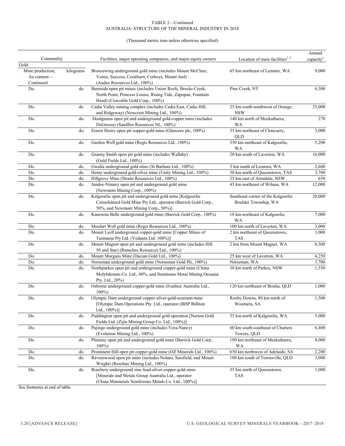#### (Thousand metric tons unless otherwise specified)

|                  |           |                                                                               |                                             | Annual                |
|------------------|-----------|-------------------------------------------------------------------------------|---------------------------------------------|-----------------------|
| Commodity        |           | Facilities, major operating companies, and major equity owners                | Location of main facilities <sup>1, 2</sup> | capacity <sup>e</sup> |
| Gold:            |           |                                                                               |                                             |                       |
| Mine production, | kilograms | Bronzewing underground gold mine (includes Mount McClure,                     | 65 km northeast of Leinster, WA             | 9,000                 |
| Au content-      |           | Venus, Success, Cockburn, Corboys, Mount Joel)                                |                                             |                       |
| Continued        |           | (Audax Resources Ltd., 100%)                                                  |                                             |                       |
| Do.              | do.       | Burnside open pit mines (includes Union Reefs, Brocks Creek,                  | Pine Creek, NT                              | 6,500                 |
|                  |           | North Point, Princess Louise, Rising Tide, Zapopan, Fountain                  |                                             |                       |
|                  |           | Head) (Crocodile Gold Corp., 100%)                                            |                                             |                       |
| Do.              | do.       | Cadia Valley mining complex (includes Cadia East, Cadia Hill,                 | 25 km south-southwest of Orange,            | 25,000                |
|                  |           | and Ridgeway) (Newcrest Mining Ltd., 100%)                                    | <b>NSW</b>                                  |                       |
| Do.              | do.       | Doolgunna open pit and underground gold-copper mine (includes                 | 140 km north of Meekatharra,                | 270                   |
|                  |           | DeGrussa) (Sandfire Resources NL, 100%)                                       | <b>WA</b>                                   |                       |
| Do.              | do.       | Ernest Henry open pit copper-gold mine (Glencore plc, 100%)                   | 35 km northeast of Cloncurry,               | 3,000                 |
|                  |           |                                                                               | QLD                                         |                       |
| Do.              | do.       | Garden Well gold mine (Regis Resources Ltd., 100%)                            | 350 km northeast of Kalgoorlie,             | 5,200                 |
|                  |           |                                                                               | WA                                          |                       |
| Do.              | do.       | Granny Smith open pit gold mine (includes Wallaby)                            | 20 km south of Laverton, WA                 | 16,000                |
|                  |           | (Gold Fields Ltd., 100%)                                                      |                                             |                       |
| Do.              |           | Gwalia underground gold mine (St Barbara Ltd., 100%)                          | 3 km south of Leonora, WA                   | 2,600                 |
|                  | do.       | Henty underground gold-silver mine (Unity Mining Ltd., 100%)                  |                                             |                       |
| Do.              | do.       |                                                                               | 30 km north of Queenstown, TAS              | 3,700                 |
| Do.              | do.       | Hillgrove Mine (Straits Resources Ltd., 100%)                                 | 25 km east of Armidale, NSW                 | 650                   |
| Do.              | do.       | Jundee-Nimary open pit and underground gold mine                              | 45 km northeast of Wiluna, WA               | 12,000                |
|                  |           | (Newmont Mining Corp., 100%)                                                  |                                             |                       |
| Do.              | do.       | Kalgoorlie open pit and underground gold mine [Kalgoorlie                     | Southeast corner of the Kalgoorlie          | 20,000                |
|                  |           | Consolidated Gold Mine Pty Ltd., operator (Barrick Gold Corp.,                | Boulder Township, WA                        |                       |
|                  |           | 50%, and Newmont Mining Corp., 50%)]                                          |                                             |                       |
| Do.              | do.       | Kanowna Belle underground gold mine (Barrick Gold Corp., 100%)                | 18 km northeast of Kalgoorlie,              | 7,000                 |
|                  |           |                                                                               | <b>WA</b>                                   |                       |
| Do.              | do.       | Moolart Well gold mine (Regis Resources Ltd., 100%)                           | 100 km north of Laverton, WA                | 3,000                 |
| Do.              | do.       | Mount Lyell underground copper-gold mine [Copper Mines of                     | 2 km northeast of Queenstown,               | 1,000                 |
|                  |           | Tasmania Pty Ltd. (Vedanta Ltd. 100%)]                                        | <b>TAS</b>                                  |                       |
| Do.              | do.       | Mount Magnet open pit and underground gold mine (includes Hill                | 2 km from Mount Magnet, WA                  | 8,500                 |
|                  |           | 50 and Star) (Ramelins Resources Ltd., 100%)                                  |                                             |                       |
| Do.              | do.       | Mount Morgans Mine (Dacian Gold Ltd., 100%)                                   | 25 km west of Laverton, WA                  | 4,250                 |
| Do.              | do.       | Norseman underground gold mine (Norseman Gold Plc, 100%)                      | Norseman, WA                                | 3,700                 |
| Do.              | do.       | Northparkes open pit and underground copper-gold mine (China                  | 30 km north of Parkes, NSW                  | 1,550                 |
|                  |           | Molybdenum Co. Ltd., 80%, and Sumitomo Metal Mining Oceania                   |                                             |                       |
|                  |           | Pty. Ltd., 20%)                                                               |                                             |                       |
| Do.              | do.       | Osborne underground copper-gold mine (Ivanhoe Australia Ltd.,                 | 120 km northeast of Boulia, QLD             | 1,000                 |
|                  |           | $100\%$                                                                       |                                             |                       |
| Do.              | do.       | Olympic Dam underground copper-silver-gold-uranium mine                       | Roxby Downs, 80 km north of                 | 1,500                 |
|                  |           |                                                                               |                                             |                       |
|                  |           | [Olympic Dam Operations Pty. Ltd., operator (BHP Billiton<br>Ltd., $100\%$ )] | Woomera, SA                                 |                       |
|                  | do.       | Paddington open pit and underground gold operation [Norton Gold               |                                             |                       |
| Do.              |           |                                                                               | 35 km north of Kalgoorlie, WA               | 5,000                 |
|                  |           | Fields Ltd. (Zijin Mining Group Co. Ltd., 100%)]                              |                                             |                       |
| Do.              | do.       | Pajingo underground gold mine (includes Vera-Nancy)                           | 60 km south-southeast of Charters           | 6,400                 |
|                  |           | (Evolution Mining Ltd., 100%)                                                 | Towers, OLD                                 |                       |
| Do.              | do.       | Plutonic open pit and underground gold mine (Barrick Gold Corp.,              | 180 km northeast of Meekatharra,            | 8,000                 |
|                  |           | $100\%$                                                                       | <b>WA</b>                                   |                       |
| Do.              | do.       | Prominent Hill open pit copper-gold mine (OZ Minerals Ltd., 100%)             | 650 km northwest of Adelaide, SA            | 2,200                 |
| Do.              | do.       | Ravenswood open pit mine (includes Nolans, Sarsfield, and Mount               | 100 km south of Townsville, QLD             | 3,000                 |
|                  |           | Wright) (Resolute Mining Ltd., 100%)                                          |                                             |                       |
| Do.              | do.       | Rosebery underground zinc-lead-silver-copper-gold mine                        | 35 km north of Queenstown,                  | 1,000                 |
|                  |           | [Minerals and Metals Group Australia Ltd., operator                           | <b>TAS</b>                                  |                       |
|                  |           | (China Minmetals Nonferrous Metals Co. Ltd., 100%)]                           |                                             |                       |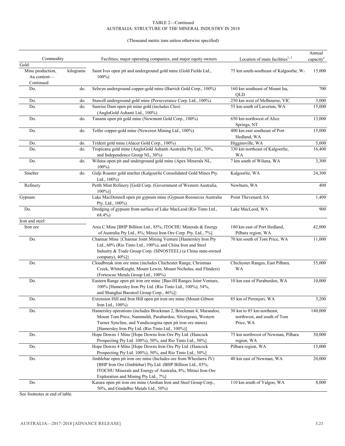#### (Thousand metric tons unless otherwise specified)

|                                          |           |                                                                                                                                                                                                                                                   |                                                                       | Annual                |
|------------------------------------------|-----------|---------------------------------------------------------------------------------------------------------------------------------------------------------------------------------------------------------------------------------------------------|-----------------------------------------------------------------------|-----------------------|
| Commodity                                |           | Facilities, major operating companies, and major equity owners                                                                                                                                                                                    | Location of main facilities $1, 2$                                    | capacity <sup>e</sup> |
| Gold:<br>Mine production,<br>Au content- | kilograms | Saint Ives open pit and underground gold mine (Gold Fields Ltd.,<br>$100\%$                                                                                                                                                                       | 75 km south-southeast of Kalgoorlie, W/                               | 15,000                |
| Continued<br>Do.                         | do.       | Selwyn underground copper-gold mine (Barrick Gold Corp., 100%)                                                                                                                                                                                    | 160 km southeast of Mount Isa,                                        | 700                   |
|                                          |           |                                                                                                                                                                                                                                                   | QLD                                                                   |                       |
| Do.                                      | do.       | Stawell underground gold mine (Perseverance Corp. Ltd., 100%)                                                                                                                                                                                     | 250 km west of Melbourne, VIC                                         | 3,000                 |
| Do.                                      | do.       | Sunrise Dam open pit mine gold (includes Cleo)<br>(AngloGold Ashanti Ltd., 100%)                                                                                                                                                                  | 55 km south of Laverton, WA                                           | 15,000                |
| Do.                                      | do.       | Tanami open pit gold mine (Newmont Gold Corp., 100%)                                                                                                                                                                                              | 650 km northwest of Alice<br>Springs, NT                              | 13,000                |
| Do.                                      | do.       | Telfer copper-gold mine (Newcrest Mining Ltd., 100%)                                                                                                                                                                                              | 400 km east southeast of Port<br>Hedland, WA                          | 15,000                |
| Do.                                      | do.       | Trident gold mine (Alacer Gold Corp., 100%)                                                                                                                                                                                                       | Higginsville, WA                                                      | 5,000                 |
| Do.                                      | do.       | Tropicana gold mine (AngloGold Ashanti Australia Pty Ltd., 70%,<br>and Independence Group NL, 30%)                                                                                                                                                | 330 km northeast of Kalgoorlie,<br>WA                                 | 16,400                |
| Do.                                      | do.       | Wiluna open pit and underground gold mine (Apex Minerals NL,<br>$100\%$                                                                                                                                                                           | 7 km south of Wiluna, WA                                              | 3,300                 |
| Smelter                                  | do.       | Gidji Roaster gold smelter (Kalgoorlie Consolidated Gold Mines Pty.<br>Ltd., 100%)                                                                                                                                                                | Kalgoorlie, WA                                                        | 24,300                |
| Refinery                                 |           | Perth Mint Refinery [Gold Corp. (Government of Western Australia,<br>$100\%)$                                                                                                                                                                     | Newburn, WA                                                           | 400                   |
| Gypsum                                   |           | Lake MacDonnell open pit gypsum mine (Gypsum Resources Australia<br>Pty. Ltd., 100%)                                                                                                                                                              | Point Thevenard, SA                                                   | 1,400                 |
| Do.                                      |           | Dredging of gypsum from surface of Lake MacLeod (Rio Tinto Ltd.,<br>$68.4\%$                                                                                                                                                                      | Lake MacLeod, WA                                                      | 900                   |
| Iron and steel:                          |           |                                                                                                                                                                                                                                                   |                                                                       |                       |
| Iron ore                                 |           | Area C Mine [BHP Billiton Ltd., 85%; ITOCHU Minerals & Energy<br>of Australia Pty Ltd., 8%; Mitsui Iron Ore Corp. Pty. Ltd., 7%]                                                                                                                  | 180 km east of Port Hedland,<br>Pilbara region, WA                    | 42,000                |
| Do.                                      |           | Channar Mine {Channar Joint Mining Venture [Hamersley Iron Pty<br>Ltd., 60% (Rio Tinto Ltd., 100%), and China Iron and Steel<br>Industry & Trade Group Corp. (SINOSTEEL) (a China state-owned<br>company), $40\%$ ]}                              | 70 km south of Tom Price, WA                                          | 11,000                |
| Do.                                      |           | Cloudbreak iron ore mine (includes Chichester Range, Christmas<br>Creek, WhiteKnight, Mount Lewin, Mount Nicholas, and Flinders)<br>(Fortescue Metals Group Ltd., 100%)                                                                           | Chichester Ranges, East Pilbara,<br><b>WA</b>                         | 55,000                |
| Do.                                      |           | Eastern Range open pit iron ore mine {Bao-HI Ranges Joint Venture,<br>100% [Hamersley Iron Pty Ltd. (Rio Tinto Ltd., 100%), 54%,<br>and Shanghai Baosteel Group Corp., 46%]}                                                                      | 10 km east of Paraburdoo, WA                                          | 10,000                |
| Do.                                      |           | Extension Hill and Iron Hill open pit iron ore mine (Mount Gibson<br>Iron Ltd., 100%)                                                                                                                                                             | 85 km of Perenjori, WA                                                | 3,200                 |
| Do.                                      |           | Hamersley operations (includes Brockman 2, Brockman 4, Marandoo,<br>Mount Tom Price, Nammuldi, Paraburdoo, Silvergrass, Western<br>Turner Syncline, and Yandicoogina open pit iron ore mines)<br>[Hamersley Iron Pty Ltd. (Rio Tinto Ltd., 100%)] | 30 km to 85 km northeast,<br>northwest, and south of Tom<br>Price, WA | 140,000               |
| Do.                                      |           | Hope Downs 1 Mine [Hope Downs Iron Ore Pty Ltd. (Hancock<br>Prospecting Pty Ltd. 100%), 50%, and Rio Tinto Ltd., 50%]                                                                                                                             | 75 km northwest of Newman, Pilbara<br>region, WA                      | 30,000                |
| Do.                                      |           | Hope Downs 4 Mine [Hope Downs Iron Ore Pty Ltd. (Hancock<br>Prospecting Pty Ltd. 100%), 50%, and Rio Tinto Ltd., 50%]                                                                                                                             | Pilbara region, WA                                                    | 15,000                |
| Do.                                      |           | Jimblebar open pit iron ore mine (Includes ore from Wheelarra JV)<br>[BHP Iron Ore (Jimblebar) Pty Ltd. (BHP Billiton Ltd., 85%;<br>ITOCHU Minerals and Energy of Australia, 8%; Mitsui Iron Ore<br>Exploration and Mining Pty Ltd., 7%]          | 40 km east of Newman, WA                                              | 20,000                |
| Do.                                      |           | Karara open pit iron ore mine (Anshan Iron and Steel Group Corp.,<br>50%, and Gindalbie Metals Ltd., 50%)                                                                                                                                         | 110 km south of Yalgoo, WA                                            | 8,000                 |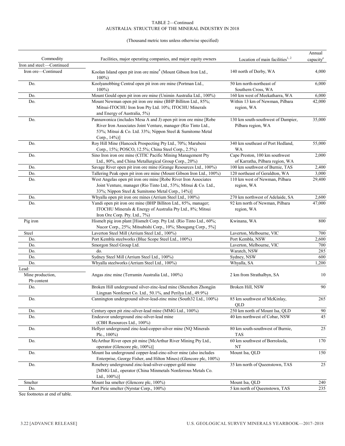#### (Thousand metric tons unless otherwise specified)

|                                         |                                                                                                                                                                                                                |                                                                   | Annual                |
|-----------------------------------------|----------------------------------------------------------------------------------------------------------------------------------------------------------------------------------------------------------------|-------------------------------------------------------------------|-----------------------|
| Commodity                               | Facilities, major operating companies, and major equity owners                                                                                                                                                 | Location of main facilities <sup>1, 2</sup>                       | capacity <sup>e</sup> |
| Iron and steel:-Continued               |                                                                                                                                                                                                                |                                                                   |                       |
| Iron ore-Continued                      | Koolan Island open pit iron ore mine <sup>4</sup> (Mount Gibson Iron Ltd.,<br>$100\%$                                                                                                                          | 140 north of Derby, WA                                            | 4,000                 |
| Do.                                     | Koolyanobbing Central open pit iron ore mine (Portman Ltd.,                                                                                                                                                    | 50 km north-northeast of                                          | 6,000                 |
|                                         | $100\%$                                                                                                                                                                                                        | Southern Cross, WA                                                |                       |
| Do.                                     | Mount Gould open pit iron ore mine (Unimin Australia Ltd., 100%)                                                                                                                                               | 160 km west of Meekatharra, WA                                    | 6,000                 |
| Do.                                     | Mount Newman open pit iron ore mine (BHP Billiton Ltd., 85%;<br>Mitsui-ITOCHU Iron Iron Pty Ltd. 10%; ITOCHU Minerals<br>and Energy of Australia, 5%)                                                          | Within 13 km of Newman, Pilbara<br>region, WA                     | 42,000                |
| Do.                                     | Pannawonica (includes Mesa A and J) open pit iron ore mine [Robe<br>River Iron Associates Joint Venture, manager (Rio Tinto Ltd.,<br>53%; Mitsui & Co. Ltd. 33%; Nippon Steel & Sumitomo Metal<br>Corp., 14%)] | 130 km south-southwest of Dampier,<br>Pilbara region, WA          | 35,000                |
| Do.                                     | Roy Hill Mine (Hancock Prospecting Pty Ltd., 70%; Marubeni<br>Corp., 15%; POSCO, 12.5%; China Steel Corp., 2.5%)                                                                                               | 340 km southeast of Port Hedland,<br>WA                           | 55,000                |
| Do.                                     | Sino Iron iron ore mine (CITIC Pacific Mining Management Pty<br>Ltd., 80%, and China Metallurgical Group Corp., 20%)                                                                                           | Cape Preston, 100 km southwest<br>of Karratha, Pilbara region, WA | 2,000                 |
| Do.                                     | Savage River open pit iron ore mine (Grange Resources Ltd., 100%)                                                                                                                                              | 100 km southwest of Burnie, TAS                                   | 2,400                 |
| Do.                                     | Tallering Peak open pit iron ore mine (Mount Gibson Iron Ltd., 100%)                                                                                                                                           | 120 northeast of Geraldton, WA                                    | 3,000                 |
| Do.                                     | West Angelas open pit iron ore mine [Robe River Iron Associates<br>Joint Venture, manager (Rio Tinto Ltd., 53%; Mitsui & Co. Ltd.,<br>33%; Nippon Steel & Sumitomo Metal Corp., 14%)]                          | 110 km west of Newman, Pilbara<br>region, WA                      | 29,400                |
| Do.                                     | Whyalla open pit iron ore mines (Arrium Steel Ltd., 100%)                                                                                                                                                      | 270 km northwest of Adelaide, SA                                  | 2,600                 |
| Do.                                     | Yandi open pit iron ore mine (BHP Billiton Ltd., 85%, manager;<br>ITOCHU Minerals & Energy of Australia Pty Ltd., 8%; Mitsui<br>Iron Ore Corp. Pty. Ltd., 7%)                                                  | 92 km north of Newman, Pilbara<br>region, WA                      | 47,000                |
| Pig iron                                | Hismelt pig iron plant [Hismelt Corp. Pty Ltd. (Rio Tinto Ltd., 60%;<br>Nucor Corp., 25%; Mitsubishi Corp., 10%; Shougang Corp., 5%]                                                                           | Kwinana, WA                                                       | 800                   |
| Steel                                   | Laverton Steel Mill (Arrium Steel Ltd., 100%)                                                                                                                                                                  | Laverton, Melbourne, VIC                                          | 700                   |
| Do.                                     | Port Kembla steelworks (Blue Scope Steel Ltd., 100%)                                                                                                                                                           | Port Kembla, NSW                                                  | 2,600                 |
| Do.                                     | Smorgon Steel Group Ltd.                                                                                                                                                                                       | Laverton, Melbourne, VIC                                          | 700                   |
| Do.                                     | do.                                                                                                                                                                                                            | Waratch, NSW                                                      | 285                   |
| Do.                                     | Sydney Steel Mill (Arrium Steel Ltd., 100%)                                                                                                                                                                    | Sydney, NSW                                                       | 600                   |
| Do.                                     | Whyalla steelworks (Arrium Steel Ltd., 100%)                                                                                                                                                                   | Whyalla, SA                                                       | 1,200                 |
| Lead:<br>Mine production,<br>Pb content | Angas zinc mine (Terramin Australia Ltd., 100%)                                                                                                                                                                | 2 km from Strathalbyn, SA                                         | 10                    |
| Do.                                     | Broken Hill underground silver-zinc-lead mine (Shenzhen Zhongjin<br>Lingnan Nonfemet Co. Ltd., 50.1%, and Perilya Ltd., 49.9%)                                                                                 | Broken Hill, NSW                                                  | 90                    |
| Do.                                     | Cannington underground silver-lead-zinc mine (South32 Ltd., 100%)                                                                                                                                              | 85 km southwest of McKinlay,<br>QLD                               | 265                   |
| Do.                                     | Century open pit zinc-silver-lead mine (MMG Ltd., 100%)                                                                                                                                                        | 250 km north of Mount Isa, QLD                                    | 90                    |
| Do.                                     | Endeavor underground zinc-silver-lead mine<br>(CBH Resources Ltd., 100%)                                                                                                                                       | 40 km northwest of Cobar, NSW                                     | 45                    |
| Do.                                     | Hellyer underground zinc-lead-copper-silver mine (NQ Minerals<br>Plc., $100\%$ )                                                                                                                               | 80 km south-southwest of Burnie,<br><b>TAS</b>                    | 25                    |
| Do.                                     | McArthur River open pit mine [McArthur River Mining Pty Ltd.,<br>operator (Glencore plc, 100%)]                                                                                                                | 60 km southwest of Borroloola,<br>$_{\rm NT}$                     | 170                   |
| Do.                                     | Mount Isa underground copper-lead-zinc-silver mine (also includes<br>Enterprise, George Fisher, and Hilton Mines) (Glencore plc, 100%)                                                                         | Mount Isa, QLD                                                    | 150                   |
| Do.                                     | Rosebery underground zinc-lead-silver-copper-gold mine<br>[MMG Ltd., operator (China Minmetals Nonferrous Metals Co.<br>Ltd., $100\%$ )]                                                                       | 35 km north of Queenstown, TAS                                    | 25                    |
| Smelter                                 | Mount Isa smelter (Glencore plc, 100%)                                                                                                                                                                         | Mount Isa, QLD                                                    | 240                   |
| Do.                                     | Port Pirie smelter (Nyrstar Corp., 100%)                                                                                                                                                                       | 5 km north of Queenstown, TAS                                     | 235                   |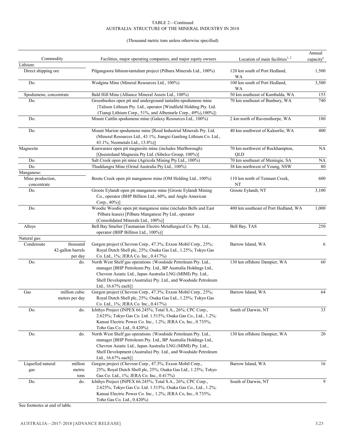#### (Thousand metric tons unless otherwise specified)

| Commodity                                              | Facilities, major operating companies, and major equity owners                                                                                                                                                                                                                           | Location of main facilities $1, 2$     | Annual<br>capacity <sup>e</sup> |
|--------------------------------------------------------|------------------------------------------------------------------------------------------------------------------------------------------------------------------------------------------------------------------------------------------------------------------------------------------|----------------------------------------|---------------------------------|
| Lithium:                                               |                                                                                                                                                                                                                                                                                          |                                        |                                 |
| Direct shipping ore                                    | Pilgangoora lithium-tantalum project (Pilbara Minerals Ltd., 100%)                                                                                                                                                                                                                       | 120 km south of Port Hedland,<br>WA    | 1,500                           |
| Do.                                                    | Wodgina Mine (Mineral Resources Ltd., 100%)                                                                                                                                                                                                                                              | 100 km south of Port Hedland,<br>WA    | 3,500                           |
| Spodumene, concentrate                                 | Bald Hill Mine (Alliance Mineral Assets Ltd., 100%)                                                                                                                                                                                                                                      | 50 km southeast of Kambalda, WA        | 155                             |
| Do.                                                    | Greenbushes open pit and underground tantalite-spodumene mine<br>{Talison Lithium Pty. Ltd., operator [Windfield Holding Pty. Ltd.<br>(Tianqi Lithium Corp., 51%, and Albemarle Corp., 49%), 100%]}                                                                                      | 70 km southeast of Bunbury, WA         | 740                             |
| Do.                                                    | Mount Cattlin spodumene mine (Galaxy Resources Ltd., 100%)                                                                                                                                                                                                                               | 2 km north of Ravensthorpe, WA         | 180                             |
| Do.                                                    | Mount Marion spodumene mine [Reed Industrial Minerals Pty. Ltd.<br>(Mineral Resources Ltd., 43.1%; Jiangxi Ganfeng Lithium Co. Ltd.,<br>43.1%; Neometals Ltd., 13.8%)]                                                                                                                   | 40 km southwest of Kaloorlie, WA       | 400                             |
| Magnesite                                              | Kunwarara open pit magnesite mine (includes Marlborough)<br>[Queensland Magnesia Pty Ltd. (Sibelco Group, 100%)]                                                                                                                                                                         | 70 km northwest of Rockhampton,<br>QLD | <b>NA</b>                       |
| Do.                                                    | Salt Creek open pit mine (Agricola Mining Pty Ltd., 100%)                                                                                                                                                                                                                                | 70 km southeast of Meningie, SA        | <b>NA</b>                       |
| Do.                                                    | Thuddungra Mine (Orind Australia Pty Ltd., 100%)                                                                                                                                                                                                                                         | 38 km northwest of Young, NSW          | 80                              |
| Manganese:                                             |                                                                                                                                                                                                                                                                                          |                                        |                                 |
| Mine production,<br>concentrate                        | Bootu Creek open pit manganese mine (OM Holding Ltd., 100%)                                                                                                                                                                                                                              | 110 km north of Tennant Creek,<br>NT   | 600                             |
| Do.                                                    | Groote Eylandt open pit manganese mine [Groote Eylandt Mining<br>Co., operator (BHP Billiton Ltd., 60%, and Anglo American<br>Corp., 40%)]                                                                                                                                               | Groote Eylandt, NT                     | 3,100                           |
| Do.                                                    | Woodie Woodie open pit manganese mine (includes Bells and East<br>Pilbara leases) [Pilbara Manganese Pty Ltd., operator<br>(Consolidated Minerals Ltd., 100%)]                                                                                                                           | 400 km southeast of Port Hedland, WA   | 1,000                           |
| Alloys                                                 | Bell Bay Smelter [Tasmanian Electro Metallurgical Co. Pty. Ltd.,<br>operator (BHP Billiton Ltd., 100%)]                                                                                                                                                                                  | Bell Bay, TAS                          | 250                             |
| Natural gas:                                           |                                                                                                                                                                                                                                                                                          |                                        |                                 |
| thousand<br>Condensate<br>42-gallon barrels<br>per day | Gorgon project (Chevron Corp., 47.3%; Exxon Mobil Corp., 25%;<br>Royal Dutch Shell plc, 25%; Osaka Gas Ltd., 1.25%; Tokyo Gas<br>Co. Ltd., 1%; JERA Co. Inc., 0.417%)                                                                                                                    | Barrow Island, WA                      | 6                               |
| Do.<br>do.                                             | North West Shelf gas operations {Woodside Petroleum Pty. Ltd.,<br>manager [BHP Petroleum Pty. Ltd., BP Australia Holdings Ltd.,<br>Chevron Asiatic Ltd., Japan Australia LNG (MIMI) Pty. Ltd.,<br>Shell Development (Australia) Pty. Ltd., and Woodside Petroleum<br>Ltd., 16.67% each]} | 130 km offshore Dampier, WA            | 60                              |
| million cubic<br>Gas<br>meters per day                 | Gorgon project (Chevron Corp., 47.3%; Exxon Mobil Corp., 25%;<br>Royal Dutch Shell plc, 25%; Osaka Gas Ltd., 1.25%; Tokyo Gas<br>Co. Ltd., 1%; JERA Co. Inc., 0.417%)                                                                                                                    | Barrow Island, WA                      | 64                              |
| Do.<br>do.                                             | Ichthys Project (INPEX 66.245%; Total S.A., 26%; CPC Corp.,<br>2.625%; Tokyo Gas Co. Ltd. 1.515%; Osaka Gas Co., Ltd., 1.2%;<br>Kansai Electric Power Co. Inc., 1.2%; JERA Co, Inc., 0.735%;<br>Toho Gas Co. Ltd., 0.420%)                                                               | South of Darwin, NT                    | 33                              |
| Do.<br>do.                                             | North West Shelf gas operations {Woodside Petroleum Pty. Ltd.,<br>manager [BHP Petroleum Pty. Ltd., BP Australia Holdings Ltd.,<br>Chevron Asiatic Ltd., Japan Australia LNG (MIMI) Pty. Ltd.,<br>Shell Development (Australia) Pty. Ltd., and Woodside Petroleum<br>Ltd., 16.67% each]} | 130 km offshore Dampier, WA            | 20                              |
| Liquefied natural<br>million                           | Gorgon project (Chevron Corp., 47.3%; Exxon Mobil Corp.,                                                                                                                                                                                                                                 | Barrow Island, WA                      | 16                              |
| metric<br>gas<br>tons                                  | 25%; Royal Dutch Shell plc, 25%; Osaka Gas Ltd., 1.25%; Tokyo<br>Gas Co. Ltd., 1%; JERA Co. Inc., 0.417%)                                                                                                                                                                                |                                        |                                 |
| Do.<br>do.                                             | Ichthys Project (INPEX 66.245%; Total S.A., 26%; CPC Corp.,<br>2.625%; Tokyo Gas Co. Ltd. 1.515%; Osaka Gas Co., Ltd., 1.2%;<br>Kansai Electric Power Co. Inc., 1.2%; JERA Co, Inc., 0.735%;<br>Toho Gas Co. Ltd., 0.420%)                                                               | South of Darwin, NT                    | 9                               |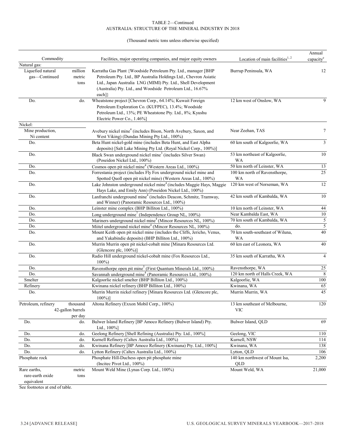#### (Thousand metric tons unless otherwise specified)

|                     |                   |                                                                                                                                            |                                    | Annual                   |
|---------------------|-------------------|--------------------------------------------------------------------------------------------------------------------------------------------|------------------------------------|--------------------------|
| Commodity           |                   | Facilities, major operating companies, and major equity owners                                                                             | Location of main facilities $1, 2$ | capacity <sup>e</sup>    |
| Natural gas:        |                   |                                                                                                                                            |                                    |                          |
| Liquefied natural   | million           | Karratha Gas Plant {Woodside Petroleum Pty. Ltd., manager [BHP                                                                             | Burrup Peninsula, WA               | 12                       |
| gas-Continued       | metric            | Petroleum Pty. Ltd., BP Australia Holdings Ltd., Chevron Asiatic                                                                           |                                    |                          |
|                     | tons              | Ltd., Japan Australia LNG (MIMI) Pty. Ltd., Shell Development                                                                              |                                    |                          |
|                     |                   | (Australia) Pty. Ltd., and Woodside Petroleum Ltd., 16.67%                                                                                 |                                    |                          |
|                     |                   | each]}                                                                                                                                     |                                    |                          |
| Do.                 | do.               | Wheatstone project [Chevron Corp., 64.14%; Kuwait Foreign                                                                                  | 12 km west of Onslow, WA           | 9                        |
|                     |                   | Petroleum Exploration Co. (KUFPEC), 13.4%; Woodside                                                                                        |                                    |                          |
|                     |                   | Petroleum Ltd., 13%; PE Wheatstone Pty. Ltd., 8%; Kyushu                                                                                   |                                    |                          |
|                     |                   | Electric Power Co., 1.46%]                                                                                                                 |                                    |                          |
| Nickel:             |                   |                                                                                                                                            |                                    |                          |
| Mine production,    |                   | Avebury nickel mine <sup>4</sup> (includes Bison, North Avebury, Saxon, and                                                                | Near Zeehan, TAS                   | 7                        |
| Ni content          |                   | West Viking) (Dundas Mining Pty Ltd., 100%)                                                                                                |                                    |                          |
| Do.                 |                   | Beta Hunt nickel-gold mine (includes Beta Hunt, and East Alpha                                                                             | 60 km south of Kalgoorlie, WA      | $\mathfrak{Z}$           |
|                     |                   | deposits) [Salt Lake Mining Pty Ltd. (Royal Nickel Corp., 100%)]                                                                           |                                    |                          |
| Do.                 |                   | Black Swan underground nickel mine <sup>3</sup> (includes Silver Swan)                                                                     | 53 km northeast of Kalgoorlie,     | 10                       |
|                     |                   | (Poseidon Nickel Ltd., 100%)                                                                                                               | <b>WA</b>                          |                          |
| Do.                 |                   | Cosmos open pit nickel mine <sup>4</sup> (Western Areas Ltd., 100%)                                                                        | 50 km north of Leinster, WA        | 13                       |
| Do.                 |                   | Forrestania project (includes Fly Fox underground nickel mine and                                                                          | 100 km north of Ravensthorpe,      | 25                       |
|                     |                   | Spotted Quoll open pit nickel mine) (Western Areas Ltd., 100%)                                                                             | <b>WA</b>                          |                          |
| Do.                 |                   | Lake Johnston underground nickel mine <sup>4</sup> (includes Maggie Hays, Maggie<br>Hays Lake, and Emily Ann) (Poseidon Nickel Ltd., 100%) | 120 km west of Norseman, WA        | 12                       |
| Do.                 |                   | Lanfranchi underground mine <sup>4</sup> (includes Deacon, Schmitz, Tramway,                                                               | 42 km south of Kambalda, WA        | 10                       |
|                     |                   | and Winner) (Panoramic Resources Ltd., 100%)                                                                                               |                                    |                          |
| Do.                 |                   | Leinster mine complex (BHP Billiton Ltd., 100%)                                                                                            | 10 km north of Leinster, WA        | 44                       |
| Do.                 |                   | Long underground mine <sup>7</sup> (Independence Group NL, 100%)                                                                           | Near Kambalda East, WA             | 10                       |
| Do.                 |                   | Mariners underground nickel mine <sup>4</sup> (Mincor Resources NL, 100%)                                                                  | 70 km south of Kambalda, WA        | $\sqrt{5}$               |
| Do.                 |                   | Miitel underground nickel mine <sup>4</sup> (Mincor Resources NL, 100%)                                                                    | do.                                | $\overline{5}$           |
| Do.                 |                   | Mount Keith open pit nickel mine (includes the Cliffs, Jericho, Venus,                                                                     | 70 km south-southeast of Wiluna,   | 40                       |
|                     |                   | and Yakabindie deposits) (BHP Billiton Ltd., 100%)                                                                                         | <b>WA</b>                          |                          |
| Do.                 |                   | Murrin Murrin open pit nickel-cobalt mine [Minara Resources Ltd.                                                                           | 60 km east of Leonora, WA          | 40                       |
|                     |                   | (Glencore plc, 100%)]                                                                                                                      |                                    |                          |
| Do.                 |                   | Radio Hill underground nickel-cobalt mine (Fox Resources Ltd.,                                                                             | 35 km south of Karratha, WA        | $\overline{\mathcal{A}}$ |
|                     |                   | $100\%$                                                                                                                                    |                                    |                          |
| Do.                 |                   | Ravensthorpe open pit mine <sup>5</sup> (First Quantum Minerals Ltd., 100%)                                                                | Ravensthorpe, WA                   | $25\,$                   |
| Do.                 |                   | Savannah underground mine <sup>4</sup> (Panoramic Resources Ltd., 100%)                                                                    | 120 km north of Halls Creek, WA    | $\,$ 8 $\,$              |
| Smelter             |                   | Kalgoorlie nickel smelter (BHP Billiton Ltd., 100%)                                                                                        | Kalgoorlie, WA                     | 100                      |
| Refinery            |                   | Kwinana nickel refinery (BHP Billiton Ltd., 100%)                                                                                          | Kwinana, WA                        | 65                       |
| Do.                 |                   | Murrin Murrin nickel refinery [Minara Resources Ltd. (Glencore plc,<br>$100\%)$                                                            | Murrin Murrin, WA                  | 45                       |
| Petroleum, refinery | thousand          | Altona Refinery (Exxon Mobil Corp., 100%)                                                                                                  | 13 km southeast of Melbourne,      | 120                      |
|                     | 42-gallon barrels |                                                                                                                                            | <b>VIC</b>                         |                          |
|                     | per day           |                                                                                                                                            |                                    |                          |
| Do.                 | do.               | Bulwer Island Refinery [BP Amoco Refinery (Bulwer Island) Pty.                                                                             | Bulwer Island, QLD                 | 69                       |
|                     |                   | Ltd., 100%]                                                                                                                                |                                    |                          |
| Do.                 | do.               | Geelong Refinery [Shell Refining (Australia) Pty. Ltd., 100%]                                                                              | Geelong, VIC                       | 110                      |
| Do.                 | do.               | Kurnell Refinery (Caltex Australia Ltd., 100%)                                                                                             | Kurnell, NSW                       | 114                      |
| Do.                 | do.               | Kwinana Refinery [BP Amoco Refinery (Kwinana) Pty. Ltd., 100%]                                                                             | Kwinana, WA                        | 138                      |
| Do.                 | do.               | Lytton Refinery (Caltex Australia Ltd., 100%)                                                                                              | Lytton, QLD                        | 106                      |
| Phosphate rock      |                   | Phosphate Hill-Duchess open pit phosphate mine                                                                                             | 140 km northwest of Mount Isa,     | 2,200                    |
|                     |                   | (Incited Pivot Ltd., 100%)                                                                                                                 | QLD                                |                          |
| Rare earths,        | metric            | Mount Weld Mine (Lynas Corp. Ltd., 100%)                                                                                                   | Mount Weld, WA                     | 21,000                   |
| rare-earth oxide    | tons              |                                                                                                                                            |                                    |                          |
| equivalent          |                   |                                                                                                                                            |                                    |                          |
|                     |                   |                                                                                                                                            |                                    |                          |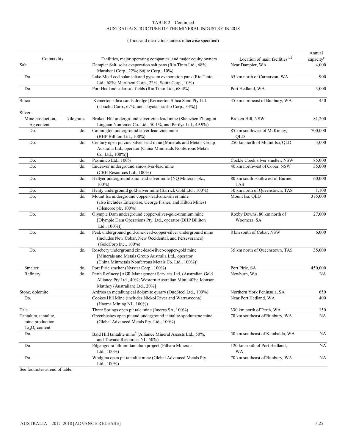#### (Thousand metric tons unless otherwise specified)

| Commodity                                                    |           |                                                                                                                                                                      |                                                                 | Annual                         |
|--------------------------------------------------------------|-----------|----------------------------------------------------------------------------------------------------------------------------------------------------------------------|-----------------------------------------------------------------|--------------------------------|
| Salt                                                         |           | Facilities, major operating companies, and major equity owners<br>Dampier Salt, solar evaporation salt pans (Rio Tinto Ltd., 68%;                                    | Location of main facilities <sup>1, 2</sup><br>Near Dampier, WA | capacity <sup>e</sup><br>4,000 |
|                                                              |           | Marubeni Corp., 22%; Sojitz Corp., 10%)                                                                                                                              |                                                                 |                                |
| Do.                                                          |           | Lake MacLeod solar salt and gypsum evaporation pans (Rio Tinto                                                                                                       | 65 km north of Carnarvon, WA                                    | 900                            |
|                                                              |           | Ltd., 68%; Marubeni Corp., 22%; Sojitz Corp., 10%)                                                                                                                   |                                                                 |                                |
| Do.                                                          |           | Port Hedland solar salt fields (Rio Tinto Ltd., 68.4%)                                                                                                               | Port Hedland, WA                                                | 3,000                          |
| Silica                                                       |           | Kemerton silica sands dredge [Kermerton Silica Sand Pty Ltd.<br>(Touchu Corp., 67%, and Toyota Tsusho Corp., 33%)]                                                   | 35 km northeast of Bunbury, WA                                  | 450                            |
| Silver:                                                      |           |                                                                                                                                                                      |                                                                 |                                |
| Mine production,<br>Ag content                               | kilograms | Broken Hill underground silver-zinc-lead mine (Shenzhen Zhongjin<br>Lingnan Nonfemet Co. Ltd., 50.1%, and Perilya Ltd., 49.9%)                                       | Broken Hill, NSW                                                | 81,200                         |
| Do.                                                          | do.       | Cannington underground silver-lead-zinc mine<br>(BHP Billiton Ltd., 100%)                                                                                            | 85 km southwest of McKinlay,<br>QLD                             | 700,000                        |
| Do.                                                          | do.       | Century open pit zinc-silver-lead mine [Minerals and Metals Group<br>Australia Ltd., operator (China Minmetals Nonferrous Metals<br>Co. Ltd., 100%)]                 | 250 km north of Mount Isa, QLD                                  | 3,000                          |
| Do.                                                          | do.       | Pasminco Ltd., 100%                                                                                                                                                  | Cockle Creek silver smelter, NSW                                | 85,000                         |
| Do.                                                          | do.       | Endeavor underground zinc-silver-lead mine<br>(CBH Resources Ltd., 100%)                                                                                             | 40 km northwest of Cobar, NSW                                   | 35,000                         |
| Do.                                                          | do.       | Hellyer underground zinc-lead-silver mine (NQ Minerals plc.,<br>$100\%$                                                                                              | 80 km south-southwest of Burnie,<br><b>TAS</b>                  | 60,000                         |
| Do.                                                          | do.       | Henty underground gold-silver mine (Barrick Gold Ltd., 100%)                                                                                                         | 30 km north of Queenstown, TAS                                  | 1,100                          |
| Do.                                                          | do.       | Mount Isa underground copper-lead-zinc-silver mine<br>(also includes Enterprise, George Fisher, and Hilton Mines)<br>(Glencore plc, 100%)                            | Mount Isa, QLD                                                  | 375,000                        |
| Do.                                                          | do.       | Olympic Dam underground copper-silver-gold-uranium mine<br>[Olympic Dam Operations Pty. Ltd., operator (BHP Billiton<br>Ltd., 100%)]                                 | Roxby Downs, 80 km north of<br>Woomera, SA                      | 27,000                         |
| Do.                                                          | do.       | Peak underground gold-zinc-lead-copper-silver underground mine<br>(includes New Cobar, New Occidental, and Perseverance)<br>(GoldCorp Inc., 100%)                    | 8 km south of Cobar, NSW                                        | 6,000                          |
| Do.                                                          | do.       | Rosebery underground zinc-lead-silver-copper-gold mine<br>[Minerals and Metals Group Australia Ltd., operator<br>(China Minmetals Nonferrous Metals Co. Ltd., 100%)] | 35 km north of Queenstown, TAS                                  | 35,000                         |
| Smelter                                                      | do.       | Port Pirie smelter (Nyrstar Corp., 100%)                                                                                                                             | Port Pirie, SA                                                  | 450,000                        |
| Refinery                                                     | do.       | Perth Refinery [AGR Management Services Ltd. (Australian Gold<br>Alliance Pty Ltd., 40%; Western Australian Mint, 40%; Johnson<br>Matthey (Australian) Ltd., 20%]    | Newburn, WA                                                     | <b>NA</b>                      |
| Stone, dolomite                                              |           | Ardrossan metallurgical dolomite quarry (OneSteel Ltd., 100%)                                                                                                        | Northern York Peninsula, SA                                     | 650                            |
| Do.                                                          |           | Cookes Hill Mine (includes Nickol River and Warrawoona)<br>(Haoma Mining NL, 100%)                                                                                   | Near Port Hedland, WA                                           | 400                            |
| Talc                                                         |           | Three Springs open pit talc mine (Imerys SA, 100%)                                                                                                                   | 330 km north of Perth, WA                                       | 150                            |
| Tantalum, tantalite,<br>mine production<br>$Ta_2O_5$ content |           | Greenbushes open pit and underground tantalite-spodumene mine<br>(Global Advanced Metals Pty. Ltd., 100%)                                                            | 70 km southeast of Bunbury, WA                                  | $\rm NA$                       |
| Do.                                                          |           | Bald Hill tantalite mine <sup>4</sup> (Alliance Mineral Assests Ltd., 50%,<br>and Tawana Resources NL, 50%)                                                          | 50 km southeast of Kambalda, WA                                 | NA                             |
| Do.                                                          |           | Pilgangoora lithium-tantalum project (Pilbara Minerals<br>Ltd., $100\%$ )                                                                                            | 120 km south of Port Hedland,<br>WA                             | <b>NA</b>                      |
| Do.                                                          |           | Wodgina open pit tantalite mine (Global Advanced Metals Pty.<br>Ltd., $100\%$ )                                                                                      | 70 km southeast of Bunbury, WA                                  | NA                             |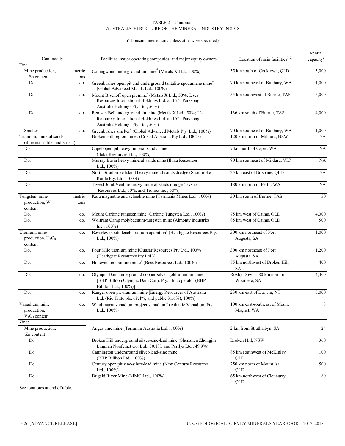#### (Thousand metric tons unless otherwise specified)

|                                                           |             |                                                                                                                                                                    |                                              | Annual                |
|-----------------------------------------------------------|-------------|--------------------------------------------------------------------------------------------------------------------------------------------------------------------|----------------------------------------------|-----------------------|
| Commodity                                                 |             | Facilities, major operating companies, and major equity owners                                                                                                     | Location of main facilities $1, 2$           | capacity <sup>e</sup> |
| Tin:                                                      |             |                                                                                                                                                                    |                                              |                       |
| Mine production,                                          | metric      | Collingwood underground tin mine <sup>4</sup> (Metals X Ltd., 100%)                                                                                                | 35 km south of Cooktown, QLD                 | 3,000                 |
| Sn content<br>Do.                                         | tons<br>do. | Greenbushes open pit and underground tantalite-spodumene mine <sup>4</sup><br>(Global Advanced Metals Ltd., 100%)                                                  | 70 km southeast of Bunbury, WA               | 1,000                 |
| Do.                                                       | do.         | Mount Bischoff open pit mine <sup>4</sup> (Metals X Ltd., 50%; L'sea<br>Resources International Holdings Ltd. and YT Parksong<br>Australia Holdings Pty Ltd., 50%) | 55 km southwest of Burnie, TAS               | 6,000                 |
| Do.                                                       | do.         | Renison Bell underground tin mine (Metals X Ltd., 50%; L'sea<br>Resources International Holdings Ltd. and YT Parksong<br>Australia Holdings Pty Ltd., 50%)         | 136 km south of Burnie, TAS                  | 4,000                 |
| Smelter                                                   | do.         | Greenbushes smelter <sup>4</sup> (Global Advanced Metals Pty. Ltd., 100%)                                                                                          | 70 km southeast of Bunbury, WA               | 1,000                 |
| Titanium, mineral sands<br>(ilmenite, rutile, and zircon) |             | Broken Hill region mines (Cristal Australia Pty Ltd., 100%)                                                                                                        | 120 km north of Mildura, NSW                 | NA                    |
| Do.                                                       |             | Capel open pit heavy-mineral-sands mine<br>(Iluka Resources Ltd., 100%)                                                                                            | 7 km north of Capel, WA                      | NA                    |
| Do.                                                       |             | Murray Basin heavy-mineral-sands mine (Iluka Resources<br>Ltd., $100\%$ )                                                                                          | 80 km southeast of Mildura, VIC              | NA                    |
| Do.                                                       |             | North Stradbroke Island heavy-mineral-sands dredge (Stradbroke<br>Rutile Pty. Ltd., 100%)                                                                          | 35 km east of Brisbane, QLD                  | $\rm NA$              |
| Do.                                                       |             | Tiwest Joint Venture heavy-mineral-sands dredge (Exxaro<br>Resources Ltd., 50%, and Tronox Inc., 50%)                                                              | 180 km north of Perth, WA                    | $\rm NA$              |
| Tungsten, mine                                            | metric      | Kara magnetite and scheelite mine (Tasmania Mines Ltd., 100%)                                                                                                      | 30 km south of Burnie, TAS                   | 50                    |
| production, W<br>content                                  | tons        |                                                                                                                                                                    |                                              |                       |
| Do.                                                       | do.         | Mount Carbine tungsten mine (Carbine Tungsten Ltd., 100%)                                                                                                          | 75 km west of Caims, QLD                     | 4,000                 |
| Do.                                                       | do.         | Wolfram Camp molybdenum-tungsten mine (Almonty Industries<br>Inc., $100\%$ )                                                                                       | 85 km west of Caims, QLD                     | 500                   |
| Uranium, mine<br>production, $U_3O_8$<br>content          | do.         | Beverley in situ leach uranium operation <sup>4</sup> (Heathgate Resources Pty.<br>Ltd., $100\%$ )                                                                 | 300 km northeast of Port<br>Augusta, SA      | 1,000                 |
| Do.                                                       | do.         | Four Mile uranium mine [Quasar Resources Pty Ltd., 100%<br>(Heathgate Resources Pty Ltd.)]                                                                         | 300 km northeast of Port<br>Augusta, SA      | 1,200                 |
| Do.                                                       | do.         | Honeymoon uranium mine <sup>4</sup> (Boss Resources Ltd., 100%)                                                                                                    | 75 km northwest of Broken Hill,<br><b>SA</b> | 400                   |
| Do.                                                       | do.         | Olympic Dam underground copper-silver-gold-uranium mine<br>[BHP Billiton Olympic Dam Corp. Pty. Ltd., operator (BHP<br>Billiton Ltd., 100%)]                       | Roxby Downs, 80 km north of<br>Woomera, SA   | 4,400                 |
| Do.                                                       | do.         | Ranger open pit uranium mine [Energy Resources of Australia<br>Ltd. (Rio Tinto plc, 68.4%, and public 31.6%), 100%]                                                | 230 km east of Darwin, NT                    | 5,000                 |
| Vanadium, mine<br>production,<br>$V_2O_5$ content         | do.         | Windimurra vanadium project vanadium <sup>*</sup> (Atlantic Vanadium Pty<br>Ltd., $100\%$ )                                                                        | 100 km east-southeast of Mount<br>Magnet, WA | 8                     |
| Zinc:<br>Mine production,                                 |             | Angas zinc mine (Terramin Australia Ltd., 100%)                                                                                                                    | 2 km from Strathalbyn, SA                    | 24                    |
| Zn content<br>Do.                                         |             | Broken Hill underground silver-zinc-lead mine (Shenzhen Zhongjin<br>Lingnan Nonfemet Co. Ltd., 50.1%, and Perilya Ltd., 49.9%)                                     | Broken Hill, NSW                             | 360                   |
| Do.                                                       |             | Cannington underground silver-lead-zinc mine<br>(BHP Billiton Ltd., 100%)                                                                                          | 85 km southwest of McKinlay,<br>QLD          | 100                   |
| Do.                                                       |             | Century open pit zinc-silver-lead mine (New Century Resources<br>Ltd., $100\%$ )                                                                                   | 250 km north of Mount Isa,<br>QLD            | 500                   |
| Do.                                                       |             | Dugald River Mine (MMG Ltd., 100%)                                                                                                                                 | 65 km northwest of Cloncurry,<br>QLD         | 80                    |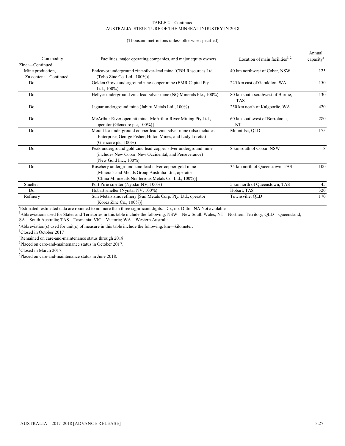#### (Thousand metric tons unless otherwise specified)

|                      |                                                                                                                                                                       |                                                | Annual                |
|----------------------|-----------------------------------------------------------------------------------------------------------------------------------------------------------------------|------------------------------------------------|-----------------------|
| Commodity            | Facilities, major operating companies, and major equity owners                                                                                                        | Location of main facilities $1, 2$             | capacity <sup>e</sup> |
| Zinc:-Continued      |                                                                                                                                                                       |                                                |                       |
| Mine production,     | Endeavor underground zinc-silver-lead mine [CBH Resources Ltd.                                                                                                        | 40 km northwest of Cobar, NSW                  | 125                   |
| Zn content-Continued | (Toho Zinc Co. Ltd., 100%)]                                                                                                                                           |                                                |                       |
| Do.                  | Golden Grove underground zinc-copper mine (EMR Capital Pty<br>Ltd., $100\%$ )                                                                                         | 225 km east of Geraldton, WA                   | 150                   |
| Do.                  | Hellyer underground zinc-lead-silver mine (NQ Minerals Plc., 100%)                                                                                                    | 80 km south-southwest of Burnie.<br><b>TAS</b> | 130                   |
| Do.                  | Jaguar underground mine (Jabiru Metals Ltd., 100%)                                                                                                                    | 250 km north of Kalgoorlie, WA                 | 420                   |
| Do.                  | McArthur River open pit mine [McArthur River Mining Pty Ltd.,<br>operator (Glencore plc, 100%)]                                                                       | 60 km southwest of Borroloola,<br>NT           | 280                   |
| Do.                  | Mount Isa underground copper-lead-zinc-silver mine (also includes<br>Enterprise, George Fisher, Hilton Mines, and Lady Loretta)<br>(Glencore plc, 100%)               | Mount Isa, QLD                                 | 175                   |
| Do.                  | Peak underground gold-zinc-lead-copper-silver underground mine<br>(includes New Cobar, New Occidental, and Perseverance)<br>(New Gold Inc., 100%)                     | 8 km south of Cobar, NSW                       | 8                     |
| Do.                  | Rosebery underground zinc-lead-silver-copper-gold mine<br>[Minerals and Metals Group Australia Ltd., operator]<br>(China Minmetals Nonferrous Metals Co. Ltd., 100%)] | 35 km north of Queenstown, TAS                 | 100                   |
| Smelter              | Port Pirie smelter (Nyrstar NV, 100%)                                                                                                                                 | 5 km north of Queenstown, TAS                  | 45                    |
| Do.                  | Hobart smelter (Nyrstar NV, 100%)                                                                                                                                     | Hobart, TAS                                    | 320                   |
| Refinery             | Sun Metals zinc refinery [Sun Metals Corp. Pty. Ltd., operator<br>(Korea Zinc Co., 100%)]                                                                             | Townsville, OLD                                | 170                   |

e Estimated; estimated data are rounded to no more than three significant digits. Do., do. Ditto. NA Not available.

<sup>1</sup>Abbreviations used for States and Territories in this table include the following: NSW—New South Wales; NT—Northern Territory; QLD—Queensland; SA—South Australia; TAS—Tasmania; VIC—Victoria; WA—Western Australia.

<sup>2</sup>Abbreviation(s) used for unit(s) of measure in this table include the following: km—kilometer.

<sup>3</sup>Closed in October 2017

<sup>4</sup>Remained on care-and-maintenance status through 2018.

5 Placed on care-and-maintenance status in October 2017.

6 Closed in March 2017.

 $7$ Placed on care-and-maintenance status in June 2018.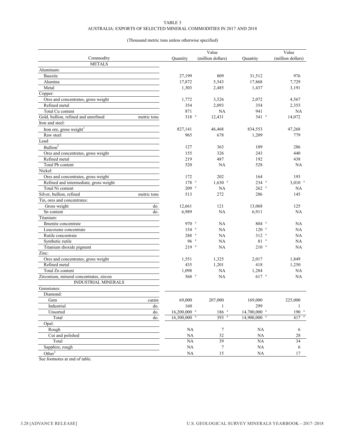#### TABLE 3 AUSTRALIA: EXPORTS OF SELECTED MINERAL COMMODITIES IN 2017 AND 2018

#### (Thousand metric tons unless otherwise specified)

|                                                     |                                  | Value              |                           | Value              |
|-----------------------------------------------------|----------------------------------|--------------------|---------------------------|--------------------|
| Commodity                                           | Quantity                         | (million dollars)  | Quantity                  | (million dollars)  |
| <b>METALS</b>                                       |                                  |                    |                           |                    |
| Aluminum:                                           |                                  |                    |                           |                    |
| Bauxite                                             | 27,199                           | 809                | 31,512                    | 976                |
| Alumina                                             | 17,872                           | 5,543              | 17,868                    | 7,729              |
| Metal                                               | 1,303                            | 2,485              | 1,437                     | 3,191              |
| Copper:                                             |                                  |                    |                           |                    |
| Ores and concentrates, gross weight                 | 1,772                            | 3,526              | 2,072                     | 4,567              |
| Refined metal                                       | 354                              | 2,093              | 354                       | 2,355              |
| Total Cu content                                    | 871                              | <b>NA</b>          | 941                       | <b>NA</b>          |
| Gold, bullion, refined and unrefined<br>metric tons | $318$ $e$                        | 12,431             | $341$ $\degree$           | 14,072             |
| Iron and steel:                                     |                                  |                    |                           |                    |
| Iron ore, gross weight                              | 827,141                          | 46,468             | 834,553                   | 47,268             |
| Raw steel                                           | 965                              | 678                | 1,209                     | 779                |
| Lead:                                               |                                  |                    |                           |                    |
| $B$ ullion <sup>2</sup>                             | 127                              | 363                | 109                       | 286                |
| Ores and concentrates, gross weight                 | 155                              | 326                | 243                       | 440                |
| Refined metal                                       | 219                              | 487                | 192                       | 438                |
| Total Pb content                                    | 520                              | NA                 | 528                       | <b>NA</b>          |
| Nickel:                                             |                                  |                    |                           |                    |
| Ores and concentrates, gross weight                 | 172                              | 202                | 164                       | 193                |
| Refined and intermediate, gross weight              | $178$ $e$                        | $1,630$ e          | $234$ $\degree$           | $3,010$ $^{\circ}$ |
| Total Ni content                                    | 209 e                            | <b>NA</b>          | $262$ $\degree$           | NA                 |
| Silver, bullion, refined<br>metric tons             | 513                              | 272                | 286                       | 145                |
| Tin, ores and concentrates:                         |                                  |                    |                           |                    |
| Gross weight                                        | do.<br>12,661                    | 121                | 13,068                    | 125                |
| Sn content                                          | 6,989<br>do.                     | <b>NA</b>          | 6,911                     | <b>NA</b>          |
| Titanium:                                           |                                  |                    |                           |                    |
| Ilmenite concentrate                                | 970 e                            | NA                 | 804 e                     | NA                 |
| Leucoxene concentrate                               | 154 e                            | NA                 | 120 e                     | <b>NA</b>          |
| Rutile concentrate                                  | 288 e                            | NA                 | $312$ $\degree$           | <b>NA</b>          |
| Synthetic rutile                                    | 96e                              | NA                 | 81 <sup>e</sup>           | <b>NA</b>          |
| Titanium dioxide pigment                            | 219 e                            | NA                 | $210$ $\degree$           | NA                 |
| Zinc:                                               |                                  |                    |                           |                    |
| Ores and concentrates, gross weight                 | 1,551                            | 1,325              | 2,017                     | 1,849              |
| Refined metal                                       | 435                              | 1,201              | 418                       | 1,250              |
| Total Zn content                                    | 1,098                            | <b>NA</b>          | 1,284                     | <b>NA</b>          |
| Zirconium, mineral concentrates, zircon             | 568 e                            | <b>NA</b>          | $617$ e                   | <b>NA</b>          |
| <b>INDUSTRIAL MINERALS</b>                          |                                  |                    |                           |                    |
| Gemstones:                                          |                                  |                    |                           |                    |
| Diamond:                                            |                                  |                    |                           |                    |
| Gem                                                 | 69,000<br>carats                 | 207,000            | 169,000                   | 225,000            |
| Industrial                                          | 160<br>do.                       | 1                  | 299                       | 1                  |
| Unsorted                                            | $16,200,000$ <sup>e</sup><br>do. | $186$ $e$          | $14,700,000$ <sup>e</sup> | 190 e              |
| Total                                               | $16,300,000$ e<br>do.            | $393$ <sup>e</sup> | $14,900,000$ <sup>e</sup> | $417$ <sup>e</sup> |
| Opal:                                               |                                  |                    |                           |                    |
| Rough                                               | NA                               | 7                  | NA                        | 6                  |
| Cut and polished                                    | NA                               | 32                 | NA                        | 28                 |
| Total                                               | NA                               | $\overline{39}$    | <b>NA</b>                 | 34                 |
| Sapphire, rough                                     | NA                               | $\tau$             | $\rm NA$                  | 6                  |
| Other <sup>3</sup>                                  | $\rm NA$                         | 15                 | $\rm NA$                  | 17                 |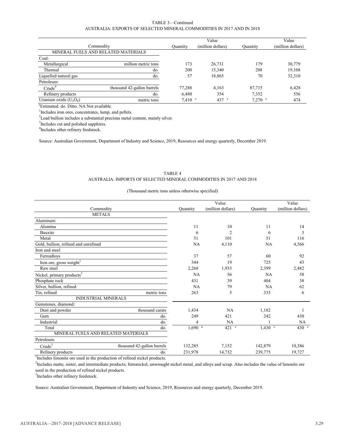#### TABLE 3—Continued AUSTRALIA: EXPORTS OF SELECTED MINERAL COMMODITIES IN 2017 AND IN 2018

|                          |                                     |                   | Value             |                   | Value             |
|--------------------------|-------------------------------------|-------------------|-------------------|-------------------|-------------------|
| Commodity                |                                     | Quantity          | (million dollars) | Quantity          | (million dollars) |
|                          | MINERAL FUELS AND RELATED MATERIALS |                   |                   |                   |                   |
| Coal:                    |                                     |                   |                   |                   |                   |
| Metallurgical            | million metric tons                 | 173               | 26,731            | 179               | 30,779            |
| Thermal                  | do.                                 | 200               | 15,340            | 208               | 19,108            |
| Liquefied natural gas    | do.                                 | 57                | 18,865            | 70                | 32,310            |
| Petroleum:               |                                     |                   |                   |                   |                   |
| Crude <sup>4</sup>       | thousand 42-gallon barrels          | 77,288            | 4.163             | 87,715            | 6,428             |
| Refinery products        | do.                                 | 6.480             | 354               | 7.352             | 556               |
| Uranium oxide $(U_3O_8)$ | metric tons                         | $7.410$ $\degree$ | $437$ e           | $7,270$ $\degree$ | 474               |

e Estimated. do. Ditto. NA Not available.

<sup>1</sup>Includes iron ores, concentrates, lump, and pellets.

 $2$ Lead bullion includes a substantial precious metal content, mainly silver.

<sup>3</sup>Includes cut and polished sapphires.

4 Includes other refinery feedstock.

Source: Australian Government, Department of Industry and Science, 2019, Resources and energy quarterly, December 2019.

#### TABLE 4 AUSTRALIA: IMPORTS OF SELECTED MINERAL COMMODITIES IN 2017 AND 2018

#### (Thousand metric tons unless otherwise specified)

|                                                  |                  | Value             |           | Value             |
|--------------------------------------------------|------------------|-------------------|-----------|-------------------|
| Commodity                                        | <b>Quantity</b>  | (million dollars) | Quantity  | (million dollars) |
| <b>METALS</b>                                    |                  |                   |           |                   |
| Aluminum:                                        |                  |                   |           |                   |
| Alumina                                          | 11               | 10                | 11        | 14                |
| Bauxite                                          | 6                | $\overline{c}$    | 6         | 3                 |
| Metal                                            | 51               | 101               | 51        | 116               |
| Gold, bullion, refined and unrefined             | NA               | 4,110             | NA        | 4,566             |
| Iron and steel:                                  |                  |                   |           |                   |
| Ferroalloys                                      | 37               | 57                | 60        | 92                |
| Iron ore, gross weight <sup>1</sup>              | 344              | 19                | 725       | 43                |
| Raw steel                                        | 2,268            | 1,933             | 2,399     | 2,482             |
| Nickel, primary products <sup>2</sup>            | NA               | 56                | NA        | 58                |
| Phosphate rock                                   | 431              | 39                | 404       | 38                |
| Silver, bullion, refined                         | NA               | 79                | NA        | 62                |
| Tin, refined<br>metric tons                      | 263              | 5                 | 335       | 6                 |
| <b>INDUSTRIAL MINERALS</b>                       |                  |                   |           |                   |
| Gemstones, diamond:                              |                  |                   |           |                   |
| thousand carats<br>Dust and powder               | 1,434            | NA                | 1.182     |                   |
| Gem                                              | 249<br>do.       | 421               | 242       | 430               |
| Industrial                                       | do.<br>4         | NA                |           | NA                |
| Total                                            | $1,690$ e<br>do. | $421$ $\degree$   | $1,430$ e | 430 e             |
| MINERAL FUELS AND RELATED MATERIALS              |                  |                   |           |                   |
| Petroleum:                                       |                  |                   |           |                   |
| Crude <sup>3</sup><br>thousand 42-gallon barrels | 132,285          | 7,152             | 142,879   | 10,386            |
| Refinery products                                | 231,978<br>do.   | 14,732            | 239,775   | 19,727            |

<sup>1</sup>Includes limonite ore used in the production of refined nickel products.

<sup>2</sup>Includes matte, sinter, and intermediate products; ferronickel, unwrought nickel metal, and alloys and scrap. Also includes the value of limonite ore used in the production of refined nickel products.

<sup>3</sup>Includes other refinery feedstock.

Source: Australian Government, Department of Industry and Science, 2019, Resources and energy quarterly, December 2019.